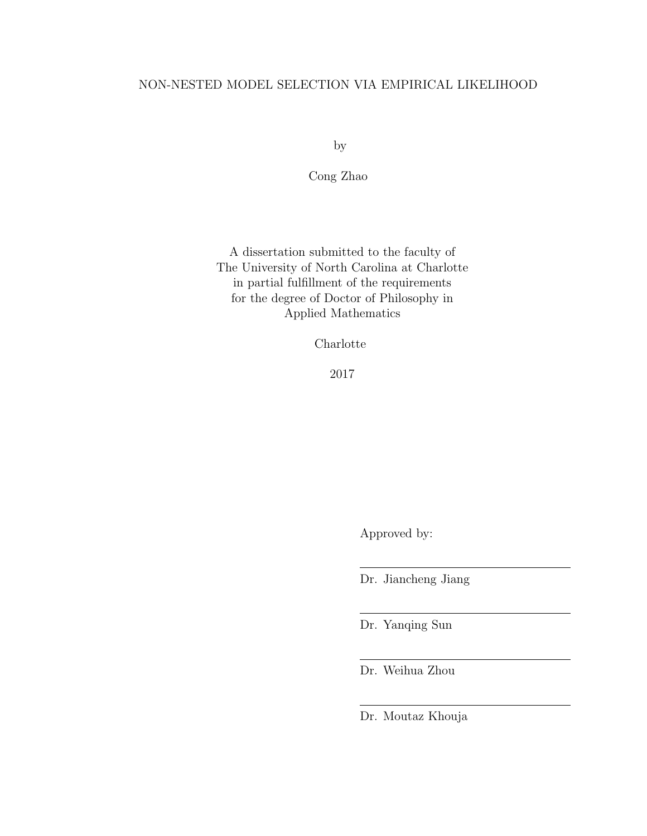## NON-NESTED MODEL SELECTION VIA EMPIRICAL LIKELIHOOD

by

Cong Zhao

A dissertation submitted to the faculty of The University of North Carolina at Charlotte in partial fulfillment of the requirements for the degree of Doctor of Philosophy in Applied Mathematics

Charlotte

2017

Approved by:

Dr. Jiancheng Jiang

Dr. Yanqing Sun

Dr. Weihua Zhou

Dr. Moutaz Khouja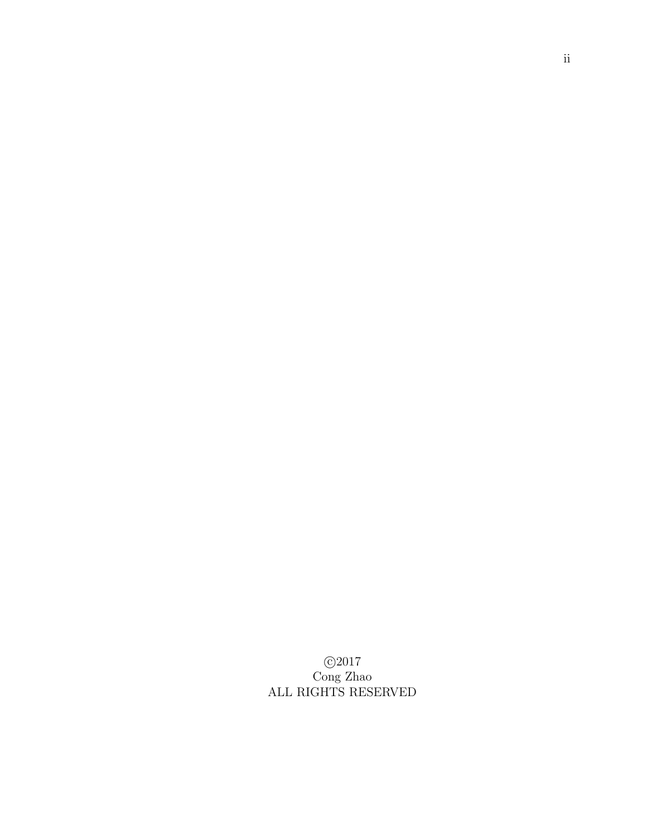c 2017 Cong Zhao ALL RIGHTS RESERVED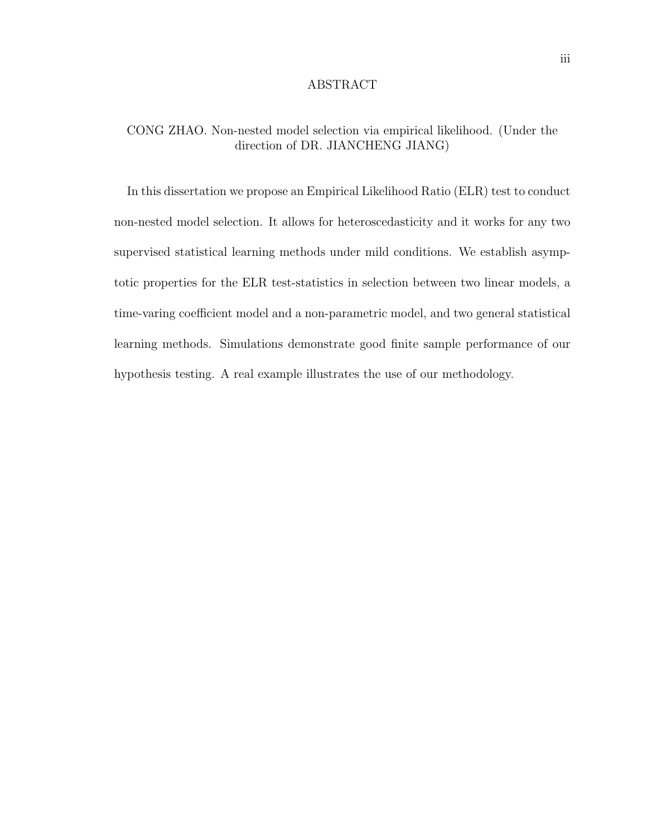#### ABSTRACT

## CONG ZHAO. Non-nested model selection via empirical likelihood. (Under the direction of DR. JIANCHENG JIANG)

In this dissertation we propose an Empirical Likelihood Ratio (ELR) test to conduct non-nested model selection. It allows for heteroscedasticity and it works for any two supervised statistical learning methods under mild conditions. We establish asymptotic properties for the ELR test-statistics in selection between two linear models, a time-varing coefficient model and a non-parametric model, and two general statistical learning methods. Simulations demonstrate good finite sample performance of our hypothesis testing. A real example illustrates the use of our methodology.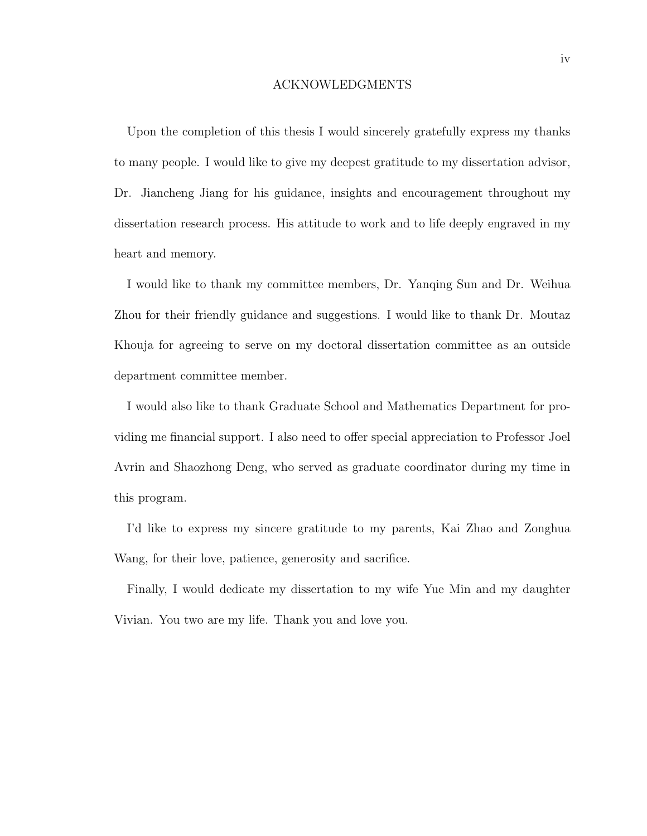#### ACKNOWLEDGMENTS

Upon the completion of this thesis I would sincerely gratefully express my thanks to many people. I would like to give my deepest gratitude to my dissertation advisor, Dr. Jiancheng Jiang for his guidance, insights and encouragement throughout my dissertation research process. His attitude to work and to life deeply engraved in my heart and memory.

I would like to thank my committee members, Dr. Yanqing Sun and Dr. Weihua Zhou for their friendly guidance and suggestions. I would like to thank Dr. Moutaz Khouja for agreeing to serve on my doctoral dissertation committee as an outside department committee member.

I would also like to thank Graduate School and Mathematics Department for providing me financial support. I also need to offer special appreciation to Professor Joel Avrin and Shaozhong Deng, who served as graduate coordinator during my time in this program.

I'd like to express my sincere gratitude to my parents, Kai Zhao and Zonghua Wang, for their love, patience, generosity and sacrifice.

Finally, I would dedicate my dissertation to my wife Yue Min and my daughter Vivian. You two are my life. Thank you and love you.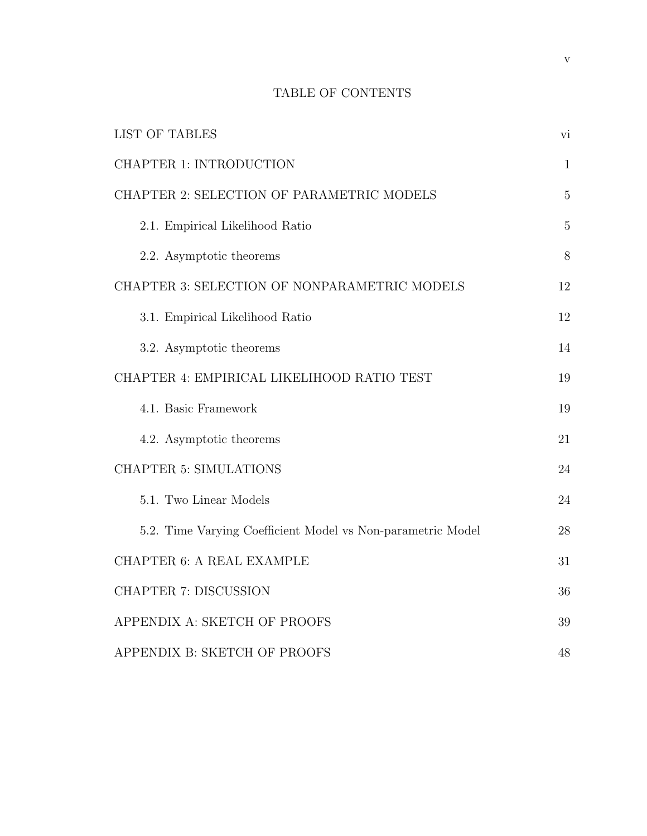# TABLE OF CONTENTS

| <b>LIST OF TABLES</b>                                       | vi           |
|-------------------------------------------------------------|--------------|
| CHAPTER 1: INTRODUCTION                                     | $\mathbf{1}$ |
| CHAPTER 2: SELECTION OF PARAMETRIC MODELS                   | 5            |
| 2.1. Empirical Likelihood Ratio                             | 5            |
| 2.2. Asymptotic theorems                                    | 8            |
| CHAPTER 3: SELECTION OF NONPARAMETRIC MODELS                | 12           |
| 3.1. Empirical Likelihood Ratio                             | 12           |
| 3.2. Asymptotic theorems                                    | 14           |
| CHAPTER 4: EMPIRICAL LIKELIHOOD RATIO TEST                  | 19           |
| 4.1. Basic Framework                                        | 19           |
| 4.2. Asymptotic theorems                                    | 21           |
| <b>CHAPTER 5: SIMULATIONS</b>                               | 24           |
| 5.1. Two Linear Models                                      | 24           |
| 5.2. Time Varying Coefficient Model vs Non-parametric Model | 28           |
| <b>CHAPTER 6: A REAL EXAMPLE</b>                            | 31           |
| <b>CHAPTER 7: DISCUSSION</b>                                | 36           |
| APPENDIX A: SKETCH OF PROOFS                                | 39           |
| APPENDIX B: SKETCH OF PROOFS                                | 48           |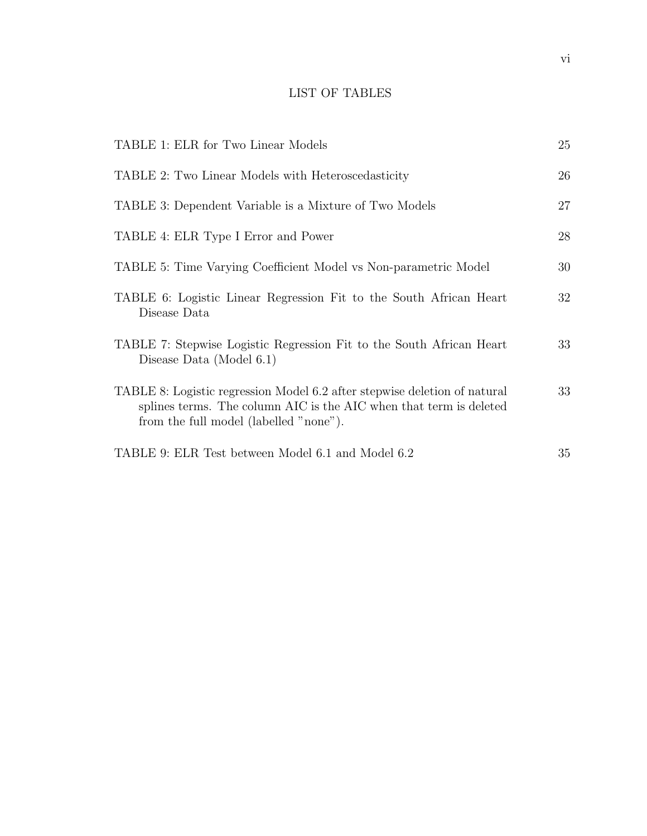# LIST OF TABLES

| TABLE 1: ELR for Two Linear Models                                                                                                                                                        | 25 |
|-------------------------------------------------------------------------------------------------------------------------------------------------------------------------------------------|----|
| TABLE 2: Two Linear Models with Heteroscedasticity                                                                                                                                        | 26 |
| TABLE 3: Dependent Variable is a Mixture of Two Models                                                                                                                                    | 27 |
| TABLE 4: ELR Type I Error and Power                                                                                                                                                       | 28 |
| TABLE 5: Time Varying Coefficient Model vs Non-parametric Model                                                                                                                           | 30 |
| TABLE 6: Logistic Linear Regression Fit to the South African Heart<br>Disease Data                                                                                                        | 32 |
| TABLE 7: Stepwise Logistic Regression Fit to the South African Heart<br>Disease Data (Model $6.1$ )                                                                                       | 33 |
| TABLE 8: Logistic regression Model 6.2 after stepwise deletion of natural<br>splines terms. The column AIC is the AIC when that term is deleted<br>from the full model (labelled "none"). | 33 |
| TABLE 9: ELR Test between Model 6.1 and Model 6.2                                                                                                                                         | 35 |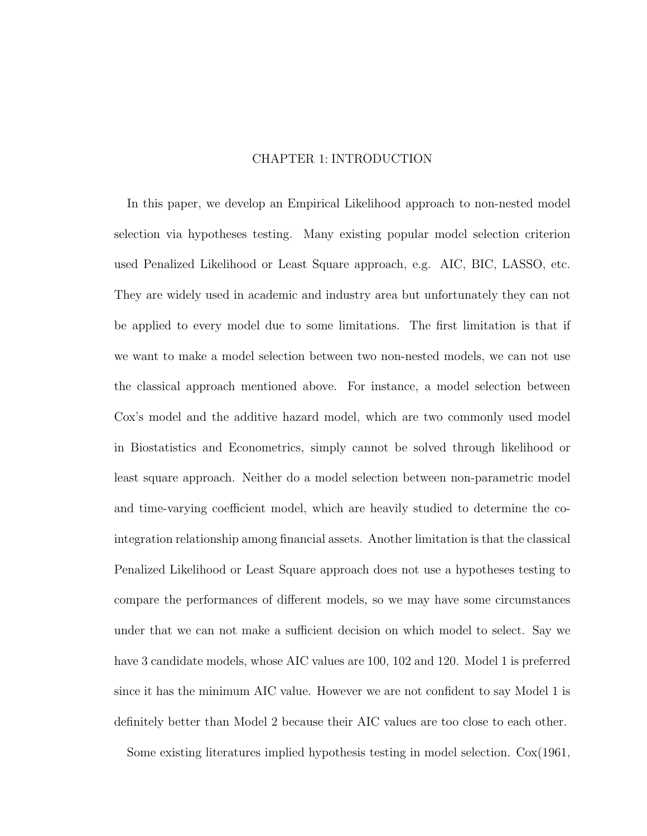## CHAPTER 1: INTRODUCTION

In this paper, we develop an Empirical Likelihood approach to non-nested model selection via hypotheses testing. Many existing popular model selection criterion used Penalized Likelihood or Least Square approach, e.g. AIC, BIC, LASSO, etc. They are widely used in academic and industry area but unfortunately they can not be applied to every model due to some limitations. The first limitation is that if we want to make a model selection between two non-nested models, we can not use the classical approach mentioned above. For instance, a model selection between Cox's model and the additive hazard model, which are two commonly used model in Biostatistics and Econometrics, simply cannot be solved through likelihood or least square approach. Neither do a model selection between non-parametric model and time-varying coefficient model, which are heavily studied to determine the cointegration relationship among financial assets. Another limitation is that the classical Penalized Likelihood or Least Square approach does not use a hypotheses testing to compare the performances of different models, so we may have some circumstances under that we can not make a sufficient decision on which model to select. Say we have 3 candidate models, whose AIC values are 100, 102 and 120. Model 1 is preferred since it has the minimum AIC value. However we are not confident to say Model 1 is definitely better than Model 2 because their AIC values are too close to each other.

Some existing literatures implied hypothesis testing in model selection. Cox(1961,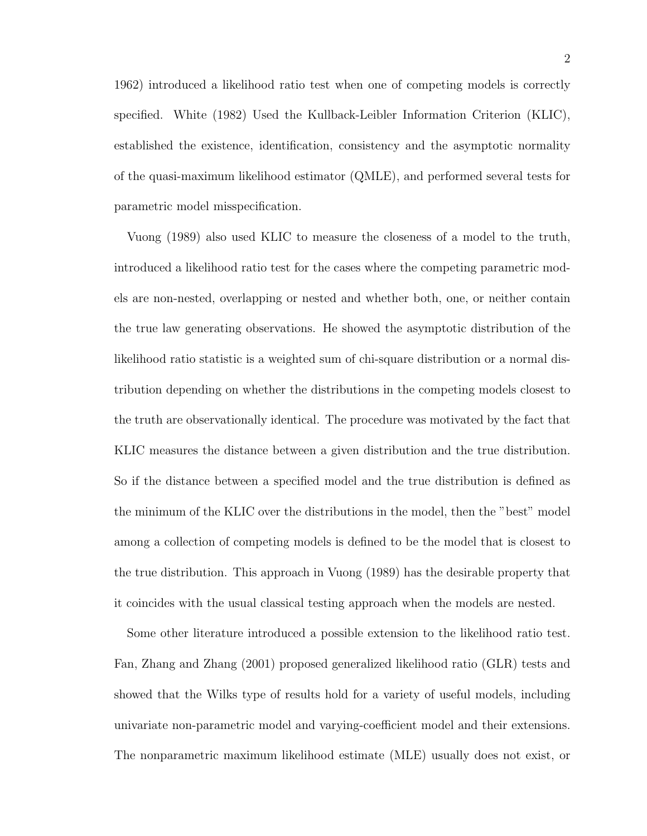1962) introduced a likelihood ratio test when one of competing models is correctly specified. White (1982) Used the Kullback-Leibler Information Criterion (KLIC), established the existence, identification, consistency and the asymptotic normality of the quasi-maximum likelihood estimator (QMLE), and performed several tests for parametric model misspecification.

Vuong (1989) also used KLIC to measure the closeness of a model to the truth, introduced a likelihood ratio test for the cases where the competing parametric models are non-nested, overlapping or nested and whether both, one, or neither contain the true law generating observations. He showed the asymptotic distribution of the likelihood ratio statistic is a weighted sum of chi-square distribution or a normal distribution depending on whether the distributions in the competing models closest to the truth are observationally identical. The procedure was motivated by the fact that KLIC measures the distance between a given distribution and the true distribution. So if the distance between a specified model and the true distribution is defined as the minimum of the KLIC over the distributions in the model, then the "best" model among a collection of competing models is defined to be the model that is closest to the true distribution. This approach in Vuong (1989) has the desirable property that it coincides with the usual classical testing approach when the models are nested.

Some other literature introduced a possible extension to the likelihood ratio test. Fan, Zhang and Zhang (2001) proposed generalized likelihood ratio (GLR) tests and showed that the Wilks type of results hold for a variety of useful models, including univariate non-parametric model and varying-coefficient model and their extensions. The nonparametric maximum likelihood estimate (MLE) usually does not exist, or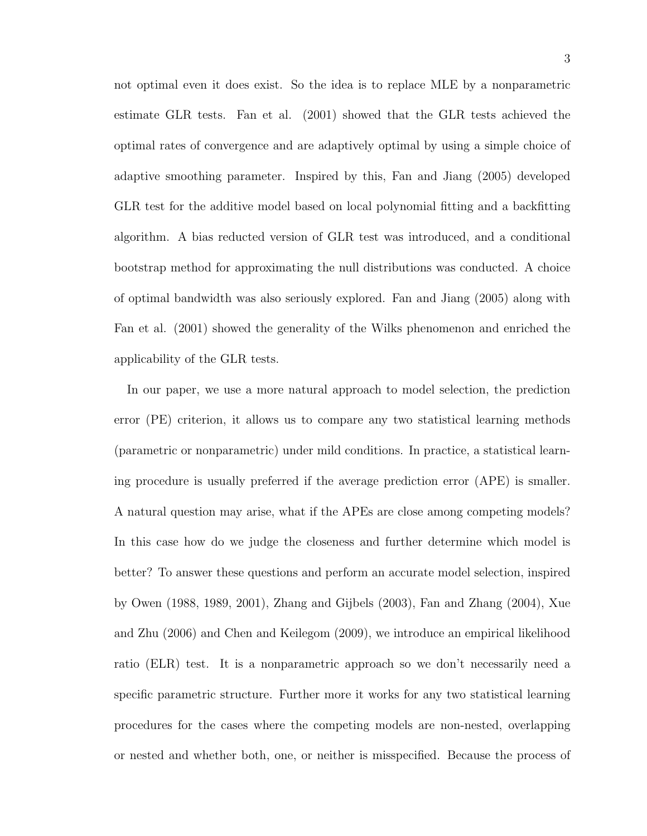not optimal even it does exist. So the idea is to replace MLE by a nonparametric estimate GLR tests. Fan et al. (2001) showed that the GLR tests achieved the optimal rates of convergence and are adaptively optimal by using a simple choice of adaptive smoothing parameter. Inspired by this, Fan and Jiang (2005) developed GLR test for the additive model based on local polynomial fitting and a backfitting algorithm. A bias reducted version of GLR test was introduced, and a conditional bootstrap method for approximating the null distributions was conducted. A choice of optimal bandwidth was also seriously explored. Fan and Jiang (2005) along with Fan et al. (2001) showed the generality of the Wilks phenomenon and enriched the applicability of the GLR tests.

In our paper, we use a more natural approach to model selection, the prediction error (PE) criterion, it allows us to compare any two statistical learning methods (parametric or nonparametric) under mild conditions. In practice, a statistical learning procedure is usually preferred if the average prediction error (APE) is smaller. A natural question may arise, what if the APEs are close among competing models? In this case how do we judge the closeness and further determine which model is better? To answer these questions and perform an accurate model selection, inspired by Owen (1988, 1989, 2001), Zhang and Gijbels (2003), Fan and Zhang (2004), Xue and Zhu (2006) and Chen and Keilegom (2009), we introduce an empirical likelihood ratio (ELR) test. It is a nonparametric approach so we don't necessarily need a specific parametric structure. Further more it works for any two statistical learning procedures for the cases where the competing models are non-nested, overlapping or nested and whether both, one, or neither is misspecified. Because the process of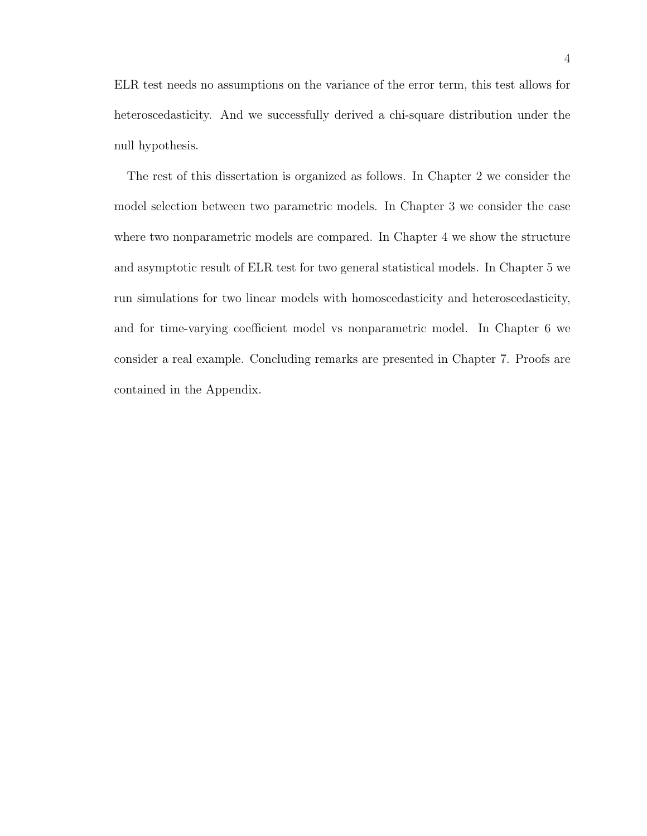ELR test needs no assumptions on the variance of the error term, this test allows for heteroscedasticity. And we successfully derived a chi-square distribution under the null hypothesis.

The rest of this dissertation is organized as follows. In Chapter 2 we consider the model selection between two parametric models. In Chapter 3 we consider the case where two nonparametric models are compared. In Chapter 4 we show the structure and asymptotic result of ELR test for two general statistical models. In Chapter 5 we run simulations for two linear models with homoscedasticity and heteroscedasticity, and for time-varying coefficient model vs nonparametric model. In Chapter 6 we consider a real example. Concluding remarks are presented in Chapter 7. Proofs are contained in the Appendix.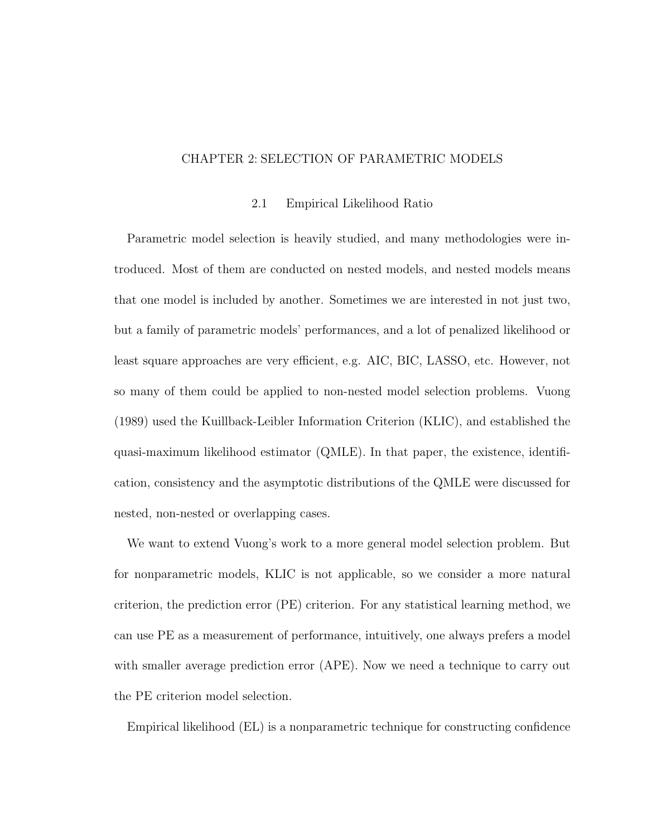## CHAPTER 2: SELECTION OF PARAMETRIC MODELS

## 2.1 Empirical Likelihood Ratio

Parametric model selection is heavily studied, and many methodologies were introduced. Most of them are conducted on nested models, and nested models means that one model is included by another. Sometimes we are interested in not just two, but a family of parametric models' performances, and a lot of penalized likelihood or least square approaches are very efficient, e.g. AIC, BIC, LASSO, etc. However, not so many of them could be applied to non-nested model selection problems. Vuong (1989) used the Kuillback-Leibler Information Criterion (KLIC), and established the quasi-maximum likelihood estimator (QMLE). In that paper, the existence, identification, consistency and the asymptotic distributions of the QMLE were discussed for nested, non-nested or overlapping cases.

We want to extend Vuong's work to a more general model selection problem. But for nonparametric models, KLIC is not applicable, so we consider a more natural criterion, the prediction error (PE) criterion. For any statistical learning method, we can use PE as a measurement of performance, intuitively, one always prefers a model with smaller average prediction error (APE). Now we need a technique to carry out the PE criterion model selection.

Empirical likelihood (EL) is a nonparametric technique for constructing confidence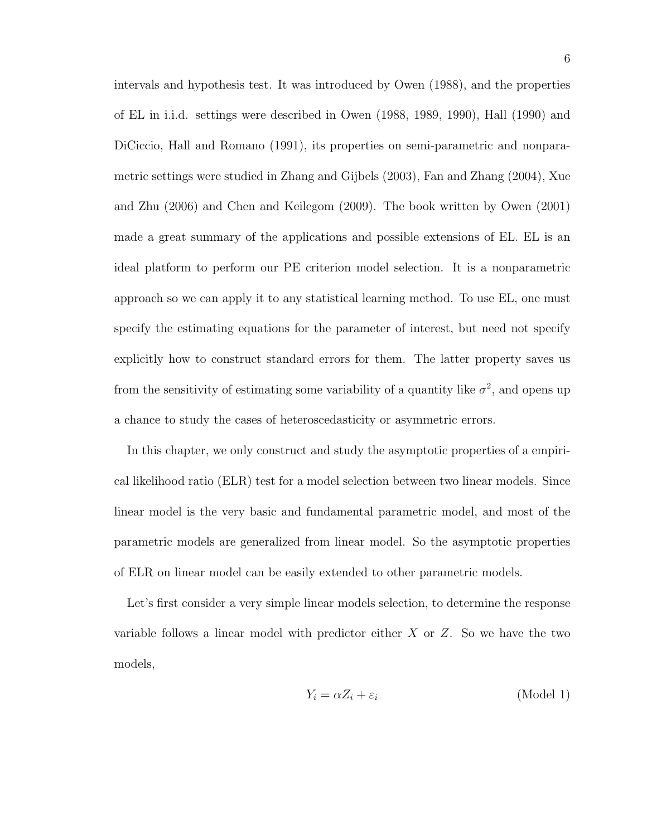intervals and hypothesis test. It was introduced by Owen (1988), and the properties of EL in i.i.d. settings were described in Owen (1988, 1989, 1990), Hall (1990) and DiCiccio, Hall and Romano (1991), its properties on semi-parametric and nonparametric settings were studied in Zhang and Gijbels (2003), Fan and Zhang (2004), Xue and Zhu (2006) and Chen and Keilegom (2009). The book written by Owen (2001) made a great summary of the applications and possible extensions of EL. EL is an ideal platform to perform our PE criterion model selection. It is a nonparametric approach so we can apply it to any statistical learning method. To use EL, one must specify the estimating equations for the parameter of interest, but need not specify explicitly how to construct standard errors for them. The latter property saves us from the sensitivity of estimating some variability of a quantity like  $\sigma^2$ , and opens up a chance to study the cases of heteroscedasticity or asymmetric errors.

In this chapter, we only construct and study the asymptotic properties of a empirical likelihood ratio (ELR) test for a model selection between two linear models. Since linear model is the very basic and fundamental parametric model, and most of the parametric models are generalized from linear model. So the asymptotic properties of ELR on linear model can be easily extended to other parametric models.

Let's first consider a very simple linear models selection, to determine the response variable follows a linear model with predictor either  $X$  or  $Z$ . So we have the two models,

$$
Y_i = \alpha Z_i + \varepsilon_i \tag{Model 1}
$$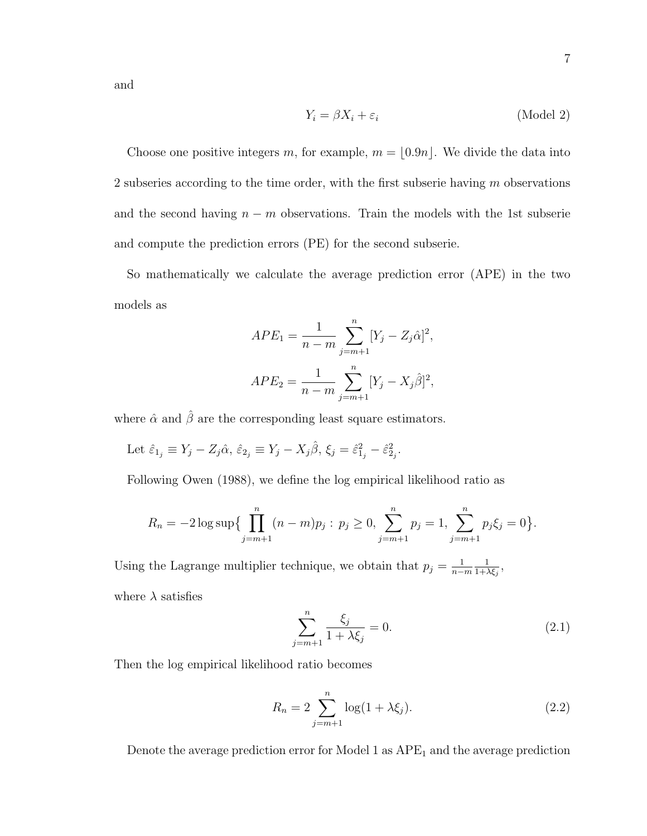and

$$
Y_i = \beta X_i + \varepsilon_i \tag{Model 2}
$$

Choose one positive integers m, for example,  $m = [0.9n]$ . We divide the data into 2 subseries according to the time order, with the first subserie having  $m$  observations and the second having  $n - m$  observations. Train the models with the 1st subserie and compute the prediction errors (PE) for the second subserie.

So mathematically we calculate the average prediction error (APE) in the two models as

$$
APE_1 = \frac{1}{n-m} \sum_{j=m+1}^{n} [Y_j - Z_j \hat{\alpha}]^2,
$$
  

$$
APE_2 = \frac{1}{n-m} \sum_{j=m+1}^{n} [Y_j - X_j \hat{\beta}]^2,
$$

where  $\hat{\alpha}$  and  $\hat{\beta}$  are the corresponding least square estimators.

Let 
$$
\hat{\varepsilon}_{1j} \equiv Y_j - Z_j \hat{\alpha}, \, \hat{\varepsilon}_{2j} \equiv Y_j - X_j \hat{\beta}, \, \xi_j = \hat{\varepsilon}_{1j}^2 - \hat{\varepsilon}_{2j}^2.
$$

Following Owen (1988), we define the log empirical likelihood ratio as

$$
R_n = -2\log \sup \{ \prod_{j=m+1}^n (n-m)p_j : p_j \ge 0, \sum_{j=m+1}^n p_j = 1, \sum_{j=m+1}^n p_j \xi_j = 0 \}.
$$

Using the Lagrange multiplier technique, we obtain that  $p_j = \frac{1}{n-j}$ n−m 1  $\frac{1}{1+\lambda \xi_j},$ where  $\lambda$  satisfies

$$
\sum_{j=m+1}^{n} \frac{\xi_j}{1 + \lambda \xi_j} = 0.
$$
\n(2.1)

Then the log empirical likelihood ratio becomes

$$
R_n = 2 \sum_{j=m+1}^{n} \log(1 + \lambda \xi_j).
$$
 (2.2)

Denote the average prediction error for Model 1 as  $APE<sub>1</sub>$  and the average prediction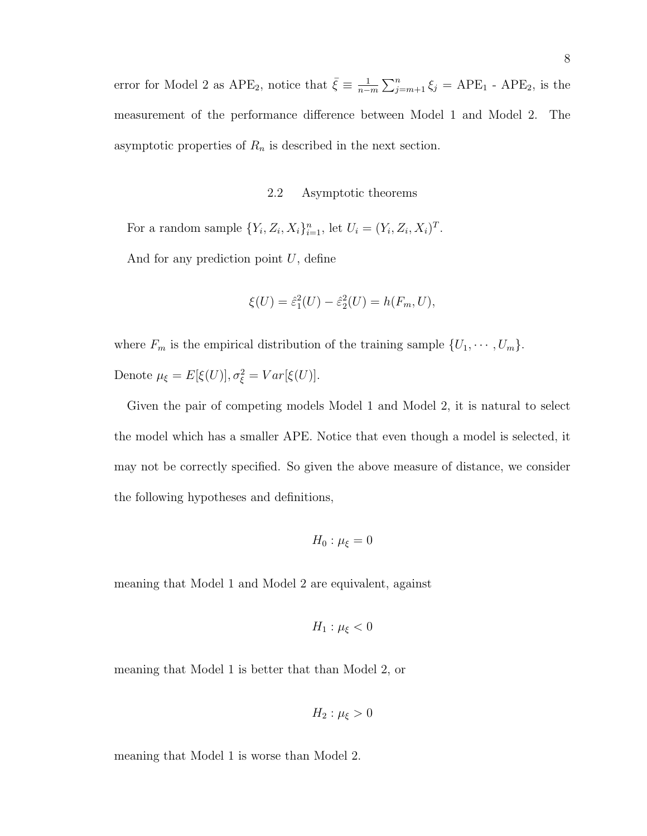error for Model 2 as APE<sub>2</sub>, notice that  $\bar{\xi} \equiv \frac{1}{n-1}$  $\frac{1}{n-m}\sum_{j=m+1}^{n}\xi_j = APE_1$  -  $APE_2$ , is the measurement of the performance difference between Model 1 and Model 2. The asymptotic properties of  $R_n$  is described in the next section.

#### 2.2 Asymptotic theorems

For a random sample  $\{Y_i, Z_i, X_i\}_{i=1}^n$ , let  $U_i = (Y_i, Z_i, X_i)^T$ .

And for any prediction point  $U$ , define

$$
\xi(U) = \hat{\varepsilon}_1^2(U) - \hat{\varepsilon}_2^2(U) = h(F_m, U),
$$

where  $F_m$  is the empirical distribution of the training sample  $\{U_1, \dots, U_m\}$ . Denote  $\mu_{\xi} = E[\xi(U)], \sigma_{\xi}^2 = Var[\xi(U)].$ 

Given the pair of competing models Model 1 and Model 2, it is natural to select the model which has a smaller APE. Notice that even though a model is selected, it may not be correctly specified. So given the above measure of distance, we consider the following hypotheses and definitions,

$$
H_0: \mu_{\xi}=0
$$

meaning that Model 1 and Model 2 are equivalent, against

$$
H_1: \mu_{\xi} < 0
$$

meaning that Model 1 is better that than Model 2, or

$$
H_2: \mu_{\xi} > 0
$$

meaning that Model 1 is worse than Model 2.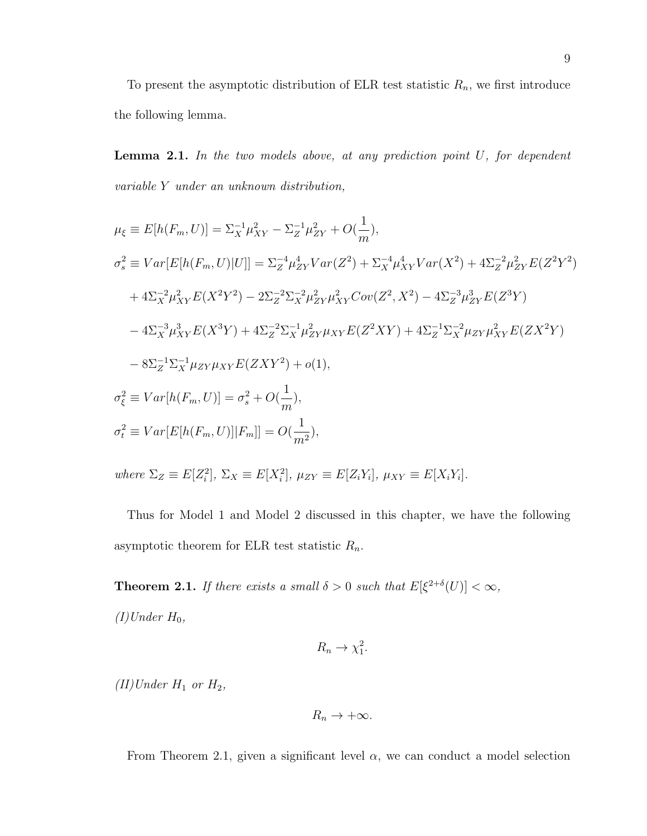To present the asymptotic distribution of ELR test statistic  $R_n$ , we first introduce the following lemma.

**Lemma 2.1.** In the two models above, at any prediction point  $U$ , for dependent variable Y under an unknown distribution,

$$
\mu_{\xi} \equiv E[h(F_m, U)] = \Sigma_X^{-1} \mu_{XY}^2 - \Sigma_Z^{-1} \mu_{ZY}^2 + O(\frac{1}{m}),
$$
  
\n
$$
\sigma_s^2 \equiv Var[E[h(F_m, U)|U]] = \Sigma_Z^{-4} \mu_{ZY}^4 Var(Z^2) + \Sigma_X^{-4} \mu_{XY}^4 Var(X^2) + 4\Sigma_Z^{-2} \mu_{ZY}^2 E(Z^2 Y^2)
$$
  
\n
$$
+ 4\Sigma_X^{-2} \mu_{XY}^2 E(X^2 Y^2) - 2\Sigma_Z^{-2} \Sigma_X^{-2} \mu_{ZY}^2 \mu_{XY}^2 Cov(Z^2, X^2) - 4\Sigma_Z^{-3} \mu_{ZY}^3 E(Z^3 Y)
$$
  
\n
$$
- 4\Sigma_X^{-3} \mu_{XY}^3 E(X^3 Y) + 4\Sigma_Z^{-2} \Sigma_X^{-1} \mu_{ZY}^2 \mu_{XY} E(Z^2 XY) + 4\Sigma_Z^{-1} \Sigma_X^{-2} \mu_{ZY} \mu_{XY}^2 E(ZX^2 Y)
$$
  
\n
$$
- 8\Sigma_Z^{-1} \Sigma_X^{-1} \mu_{ZY} \mu_{XY} E(ZXY^2) + o(1),
$$
  
\n
$$
\sigma_{\xi}^2 \equiv Var[h(F_m, U)] = \sigma_s^2 + O(\frac{1}{m}),
$$
  
\n
$$
\sigma_t^2 \equiv Var[E[h(F_m, U)] | F_m]] = O(\frac{1}{m^2}),
$$

where  $\Sigma_Z \equiv E[Z_i^2], \Sigma_X \equiv E[X_i^2], \mu_{ZY} \equiv E[Z_iY_i], \mu_{XY} \equiv E[X_iY_i].$ 

Thus for Model 1 and Model 2 discussed in this chapter, we have the following asymptotic theorem for ELR test statistic  $R_n$ .

**Theorem 2.1.** If there exists a small  $\delta > 0$  such that  $E[\xi^{2+\delta}(U)] < \infty$ ,  $(I)$ Under  $H_0$ ,

$$
R_n \to \chi_1^2.
$$

(II)Under  $H_1$  or  $H_2$ ,

$$
R_n \to +\infty.
$$

From Theorem 2.1, given a significant level  $\alpha$ , we can conduct a model selection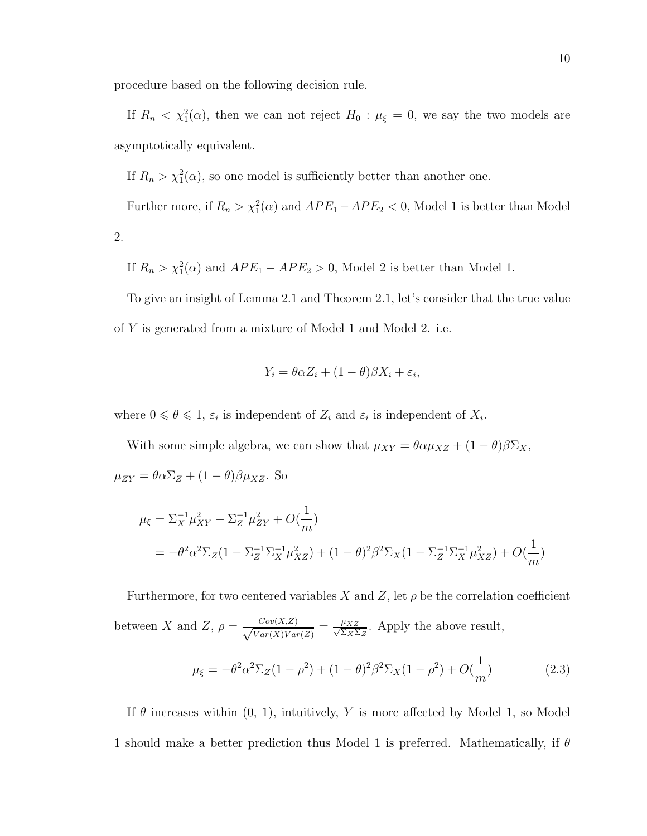procedure based on the following decision rule.

If  $R_n < \chi_1^2(\alpha)$ , then we can not reject  $H_0: \mu_{\xi} = 0$ , we say the two models are asymptotically equivalent.

If  $R_n > \chi_1^2(\alpha)$ , so one model is sufficiently better than another one.

Further more, if  $R_n > \chi_1^2(\alpha)$  and  $APE_1 - APE_2 < 0$ , Model 1 is better than Model 2.

If  $R_n > \chi_1^2(\alpha)$  and  $APE_1 - APE_2 > 0$ , Model 2 is better than Model 1.

To give an insight of Lemma 2.1 and Theorem 2.1, let's consider that the true value of Y is generated from a mixture of Model 1 and Model 2. i.e.

$$
Y_i = \theta \alpha Z_i + (1 - \theta) \beta X_i + \varepsilon_i,
$$

where  $0 \le \theta \le 1$ ,  $\varepsilon_i$  is independent of  $Z_i$  and  $\varepsilon_i$  is independent of  $X_i$ .

With some simple algebra, we can show that  $\mu_{XY} = \theta \alpha \mu_{XZ} + (1 - \theta) \beta \Sigma_X$ ,  $\mu_{ZY} = \theta \alpha \Sigma_Z + (1-\theta) \beta \mu_{XZ}$ . So

$$
\mu_{\xi} = \Sigma_X^{-1} \mu_{XY}^2 - \Sigma_Z^{-1} \mu_{ZY}^2 + O(\frac{1}{m})
$$
  
=  $-\theta^2 \alpha^2 \Sigma_Z (1 - \Sigma_Z^{-1} \Sigma_X^{-1} \mu_{XZ}^2) + (1 - \theta)^2 \beta^2 \Sigma_X (1 - \Sigma_Z^{-1} \Sigma_X^{-1} \mu_{XZ}^2) + O(\frac{1}{m})$ 

Furthermore, for two centered variables X and Z, let  $\rho$  be the correlation coefficient between X and Z,  $\rho = \frac{Cov(X,Z)}{(V_X - \langle Y \rangle)^2}$  $\frac{Cov(X,Z)}{Var(X)Var(Z)} = \frac{\mu_{XZ}}{\sqrt{\Sigma_X \Sigma}}$  $\frac{\mu_{XZ}}{\Sigma_X \Sigma_Z}$ . Apply the above result,  $\mu_{\xi} = -\theta^2 \alpha^2 \Sigma_Z (1 - \rho^2) + (1 - \theta)^2 \beta^2 \Sigma_X (1 - \rho^2) + O(\rho^2)$ 1 m  $(2.3)$ 

If  $\theta$  increases within  $(0, 1)$ , intuitively, Y is more affected by Model 1, so Model 1 should make a better prediction thus Model 1 is preferred. Mathematically, if  $\theta$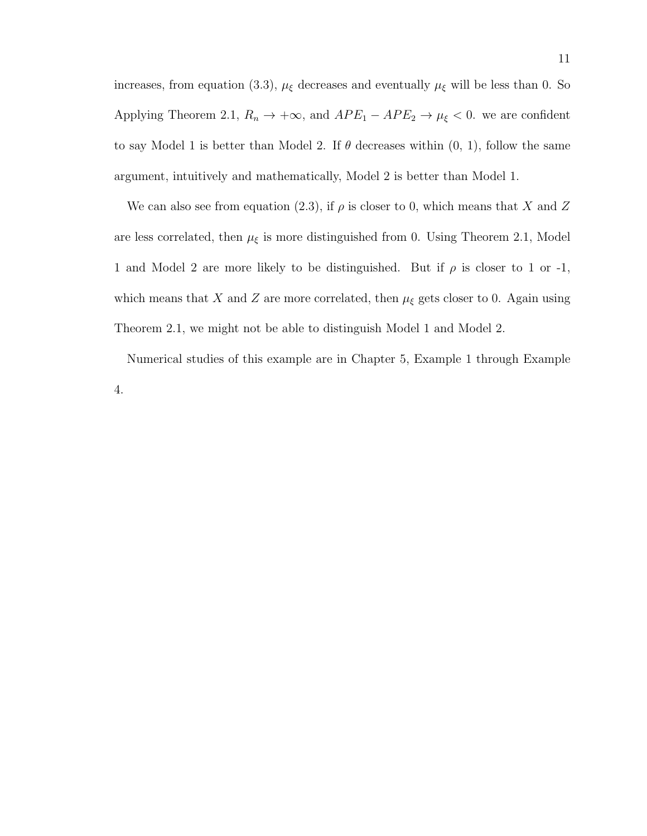increases, from equation (3.3),  $\mu_{\xi}$  decreases and eventually  $\mu_{\xi}$  will be less than 0. So Applying Theorem 2.1,  $R_n \to +\infty$ , and  $APE_1 - APE_2 \to \mu_{\xi} < 0$ . we are confident to say Model 1 is better than Model 2. If  $\theta$  decreases within  $(0, 1)$ , follow the same argument, intuitively and mathematically, Model 2 is better than Model 1.

We can also see from equation (2.3), if  $\rho$  is closer to 0, which means that X and Z are less correlated, then  $\mu_{\xi}$  is more distinguished from 0. Using Theorem 2.1, Model 1 and Model 2 are more likely to be distinguished. But if  $\rho$  is closer to 1 or -1, which means that X and Z are more correlated, then  $\mu_{\xi}$  gets closer to 0. Again using Theorem 2.1, we might not be able to distinguish Model 1 and Model 2.

Numerical studies of this example are in Chapter 5, Example 1 through Example 4.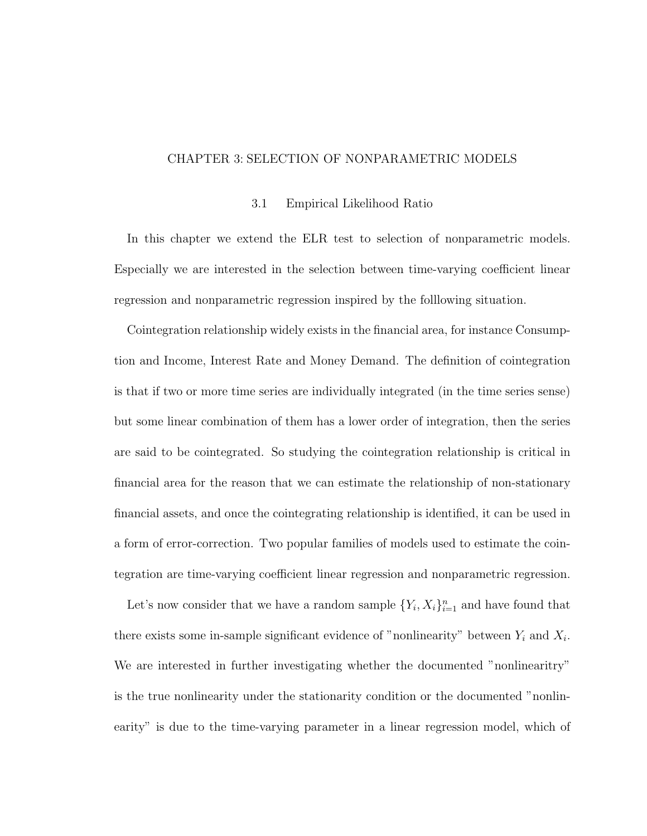## CHAPTER 3: SELECTION OF NONPARAMETRIC MODELS

#### 3.1 Empirical Likelihood Ratio

In this chapter we extend the ELR test to selection of nonparametric models. Especially we are interested in the selection between time-varying coefficient linear regression and nonparametric regression inspired by the folllowing situation.

Cointegration relationship widely exists in the financial area, for instance Consumption and Income, Interest Rate and Money Demand. The definition of cointegration is that if two or more time series are individually integrated (in the time series sense) but some linear combination of them has a lower order of integration, then the series are said to be cointegrated. So studying the cointegration relationship is critical in financial area for the reason that we can estimate the relationship of non-stationary financial assets, and once the cointegrating relationship is identified, it can be used in a form of error-correction. Two popular families of models used to estimate the cointegration are time-varying coefficient linear regression and nonparametric regression.

Let's now consider that we have a random sample  $\{Y_i, X_i\}_{i=1}^n$  and have found that there exists some in-sample significant evidence of "nonlinearity" between  $Y_i$  and  $X_i$ . We are interested in further investigating whether the documented "nonlinearitry" is the true nonlinearity under the stationarity condition or the documented "nonlinearity" is due to the time-varying parameter in a linear regression model, which of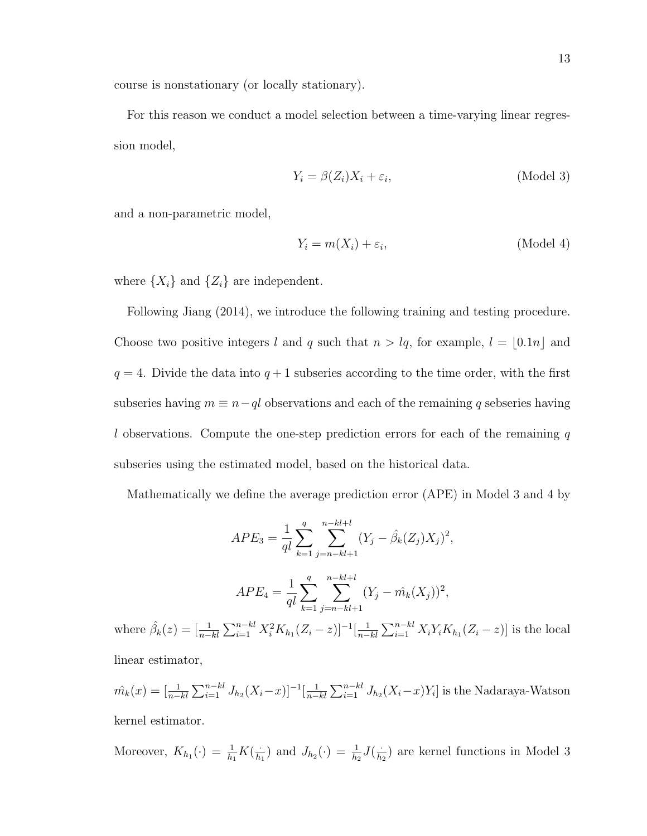course is nonstationary (or locally stationary).

For this reason we conduct a model selection between a time-varying linear regression model,

$$
Y_i = \beta(Z_i)X_i + \varepsilon_i, \tag{Model 3}
$$

and a non-parametric model,

$$
Y_i = m(X_i) + \varepsilon_i,
$$
 (Model 4)

where  $\{X_i\}$  and  $\{Z_i\}$  are independent.

Following Jiang (2014), we introduce the following training and testing procedure. Choose two positive integers l and q such that  $n > lq$ , for example,  $l = \lfloor 0.1n \rfloor$  and  $q = 4$ . Divide the data into  $q + 1$  subseries according to the time order, with the first subseries having  $m \equiv n - q l$  observations and each of the remaining q sebseries having l observations. Compute the one-step prediction errors for each of the remaining  $q$ subseries using the estimated model, based on the historical data.

Mathematically we define the average prediction error (APE) in Model 3 and 4 by

$$
APE_3 = \frac{1}{ql} \sum_{k=1}^{q} \sum_{j=n-kl+1}^{n-kl+l} (Y_j - \hat{\beta}_k(Z_j)X_j)^2,
$$

$$
APE_4 = \frac{1}{ql} \sum_{k=1}^{q} \sum_{j=n-kl+1}^{n-kl+l} (Y_j - \hat{m_k}(X_j))^2,
$$

where  $\hat{\beta}_k(z) = \left[\frac{1}{n-kl} \sum_{i=1}^{n-kl} X_i^2 K_{h_1}(Z_i - z)\right]^{-1} \left[\frac{1}{n-k} \sum_{i=1}^{n-k} X_i^2 K_{h_1}(Z_i - z)\right]^{-1}$  $\frac{1}{n-kl}\sum_{i=1}^{n-kl}X_iY_iK_{h_1}(Z_i-z)]$  is the local linear estimator,

$$
\hat{m_k}(x) = \left[\frac{1}{n-kl} \sum_{i=1}^{n-kl} J_{h_2}(X_i - x)\right]^{-1} \left[\frac{1}{n-kl} \sum_{i=1}^{n-kl} J_{h_2}(X_i - x)Y_i\right]
$$
 is the Nadaraya-Watson  
kernel estimator.

Moreover,  $K_{h_1}(\cdot) = \frac{1}{h_1} K(\frac{\cdot}{h})$  $\frac{1}{h_1}$ ) and  $J_{h_2}(\cdot) = \frac{1}{h_2} J(\frac{1}{h_2})$  $\frac{1}{h_2}$ ) are kernel functions in Model 3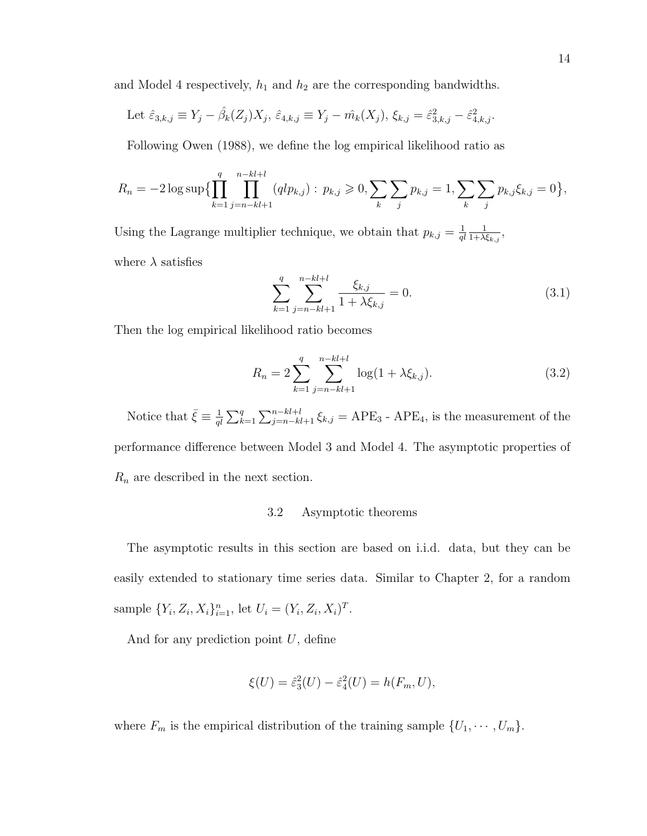and Model 4 respectively,  $h_1$  and  $h_2$  are the corresponding bandwidths.

Let 
$$
\hat{\varepsilon}_{3,k,j} \equiv Y_j - \hat{\beta}_k(Z_j)X_j
$$
,  $\hat{\varepsilon}_{4,k,j} \equiv Y_j - \hat{m}_k(X_j)$ ,  $\xi_{k,j} = \hat{\varepsilon}_{3,k,j}^2 - \hat{\varepsilon}_{4,k,j}^2$ .

Following Owen (1988), we define the log empirical likelihood ratio as

$$
R_n = -2\log \sup \{ \prod_{k=1}^q \prod_{j=n-k}^{n-k+l+1} (qlp_{k,j}) : p_{k,j} \geqslant 0, \sum_k \sum_j p_{k,j} = 1, \sum_k \sum_j p_{k,j} \xi_{k,j} = 0 \},
$$

Using the Lagrange multiplier technique, we obtain that  $p_{k,j} = \frac{1}{q}$ ql 1  $\frac{1}{1+\lambda \xi_{k,j}},$ where  $\lambda$  satisfies

$$
\sum_{k=1}^{q} \sum_{j=n-kl+1}^{n-kl+l} \frac{\xi_{k,j}}{1 + \lambda \xi_{k,j}} = 0.
$$
 (3.1)

Then the log empirical likelihood ratio becomes

$$
R_n = 2 \sum_{k=1}^{q} \sum_{j=n-kl+1}^{n-kl+l} \log(1 + \lambda \xi_{k,j}).
$$
\n(3.2)

Notice that  $\bar{\xi} \equiv \frac{1}{a}$  $\frac{1}{q} \sum_{k=1}^{q} \sum_{j=n-k}^{n-k+l+1} \xi_{k,j} = APE_3$  -  $APE_4$ , is the measurement of the performance difference between Model 3 and Model 4. The asymptotic properties of  $R_n$  are described in the next section.

## 3.2 Asymptotic theorems

The asymptotic results in this section are based on i.i.d. data, but they can be easily extended to stationary time series data. Similar to Chapter 2, for a random sample  $\{Y_i, Z_i, X_i\}_{i=1}^n$ , let  $U_i = (Y_i, Z_i, X_i)^T$ .

And for any prediction point  $U$ , define

$$
\xi(U) = \hat{\varepsilon}_3^2(U) - \hat{\varepsilon}_4^2(U) = h(F_m, U),
$$

where  $F_m$  is the empirical distribution of the training sample  $\{U_1, \dots, U_m\}$ .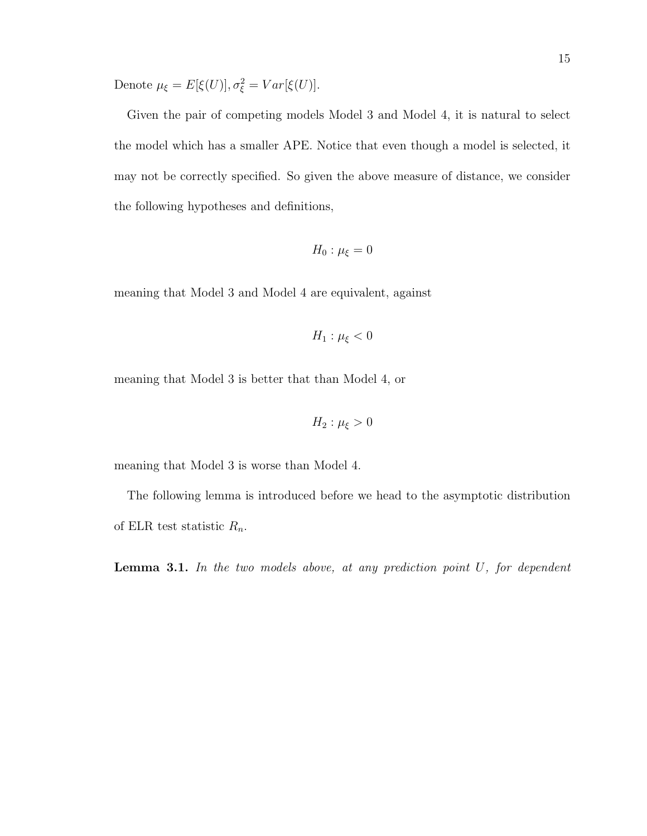Denote  $\mu_{\xi} = E[\xi(U)], \sigma_{\xi}^2 = Var[\xi(U)].$ 

Given the pair of competing models Model 3 and Model 4, it is natural to select the model which has a smaller APE. Notice that even though a model is selected, it may not be correctly specified. So given the above measure of distance, we consider the following hypotheses and definitions,

$$
H_0: \mu_{\xi} = 0
$$

meaning that Model 3 and Model 4 are equivalent, against

$$
H_1: \mu_{\xi} < 0
$$

meaning that Model 3 is better that than Model 4, or

$$
H_2: \mu_{\xi} > 0
$$

meaning that Model 3 is worse than Model 4.

The following lemma is introduced before we head to the asymptotic distribution of ELR test statistic  $R_n$ .

**Lemma 3.1.** In the two models above, at any prediction point  $U$ , for dependent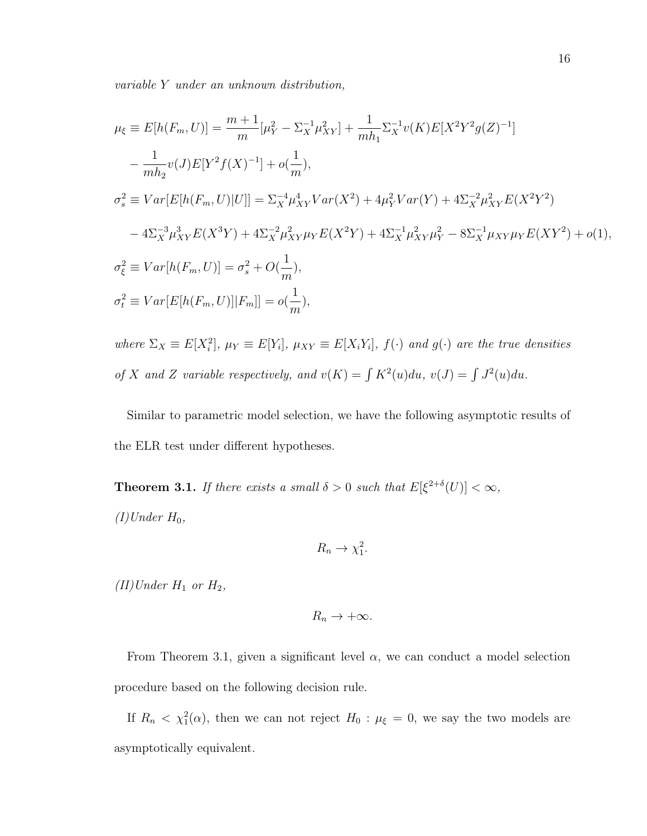variable Y under an unknown distribution,

$$
\mu_{\xi} \equiv E[h(F_m, U)] = \frac{m+1}{m} [\mu_Y^2 - \Sigma_X^{-1} \mu_{XY}^2] + \frac{1}{mh_1} \Sigma_X^{-1} v(K) E[X^2 Y^2 g(Z)^{-1}] \n- \frac{1}{mh_2} v(J) E[Y^2 f(X)^{-1}] + o(\frac{1}{m}), \n\sigma_s^2 \equiv Var[E[h(F_m, U)|U]] = \Sigma_X^{-4} \mu_{XY}^4 Var(X^2) + 4\mu_Y^2 Var(Y) + 4\Sigma_X^{-2} \mu_{XY}^2 E(X^2 Y^2) \n- 4\Sigma_X^{-3} \mu_{XY}^3 E(X^3 Y) + 4\Sigma_X^{-2} \mu_{XY}^2 \mu_Y E(X^2 Y) + 4\Sigma_X^{-1} \mu_{XY}^2 \mu_Y^2 - 8\Sigma_X^{-1} \mu_{XY} \mu_Y E(XY^2) + o(1), \n\sigma_{\xi}^2 \equiv Var[h(F_m, U)] = \sigma_s^2 + O(\frac{1}{m}), \n\sigma_t^2 \equiv Var[E[h(F_m, U)] | F_m]] = o(\frac{1}{m}),
$$

where  $\Sigma_X \equiv E[X_i^2], \mu_Y \equiv E[Y_i], \mu_{XY} \equiv E[X_iY_i], f(\cdot)$  and  $g(\cdot)$  are the true densities of X and Z variable respectively, and  $v(K) = \int K^2(u) du$ ,  $v(J) = \int J^2(u) du$ .

Similar to parametric model selection, we have the following asymptotic results of the ELR test under different hypotheses.

**Theorem 3.1.** If there exists a small  $\delta > 0$  such that  $E[\xi^{2+\delta}(U)] < \infty$ ,  $(I)$ Under  $H_0$ ,

$$
R_n \to \chi_1^2.
$$

(II)Under  $H_1$  or  $H_2$ ,

$$
R_n \to +\infty.
$$

From Theorem 3.1, given a significant level  $\alpha$ , we can conduct a model selection procedure based on the following decision rule.

If  $R_n < \chi_1^2(\alpha)$ , then we can not reject  $H_0: \mu_{\xi} = 0$ , we say the two models are asymptotically equivalent.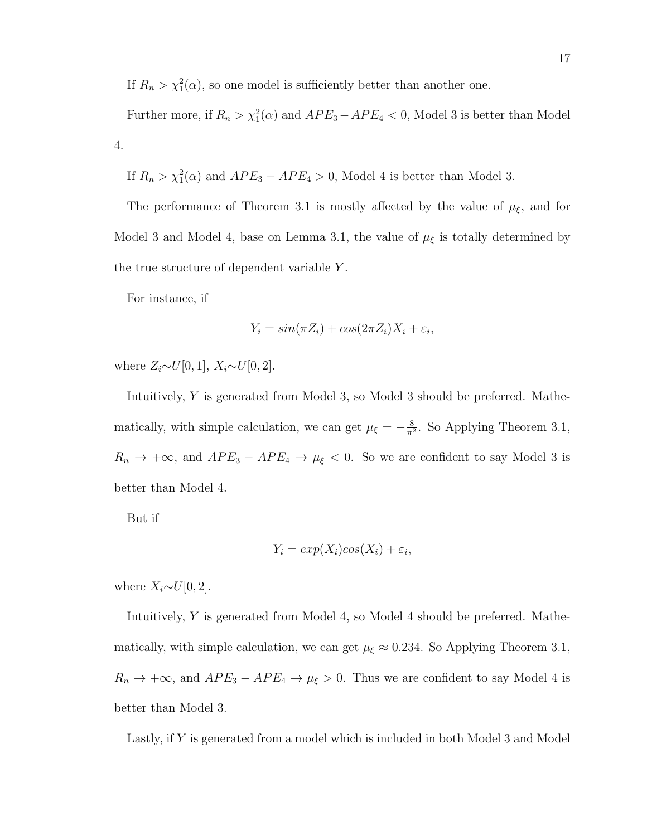If  $R_n > \chi_1^2(\alpha)$ , so one model is sufficiently better than another one.

Further more, if  $R_n > \chi_1^2(\alpha)$  and  $APE_3 - APE_4 < 0$ , Model 3 is better than Model 4.

If  $R_n > \chi_1^2(\alpha)$  and  $APE_3 - APE_4 > 0$ , Model 4 is better than Model 3.

The performance of Theorem 3.1 is mostly affected by the value of  $\mu_{\xi}$ , and for Model 3 and Model 4, base on Lemma 3.1, the value of  $\mu_{\xi}$  is totally determined by the true structure of dependent variable  $Y$ .

For instance, if

$$
Y_i = \sin(\pi Z_i) + \cos(2\pi Z_i)X_i + \varepsilon_i,
$$

where  $Z_i \sim U[0, 1]$ ,  $X_i \sim U[0, 2]$ .

Intuitively, Y is generated from Model 3, so Model 3 should be preferred. Mathematically, with simple calculation, we can get  $\mu_{\xi} = -\frac{8}{\pi^2}$  $\frac{8}{\pi^2}$ . So Applying Theorem 3.1,  $R_n \to +\infty$ , and  $APE_3 - APE_4 \to \mu_{\xi} < 0$ . So we are confident to say Model 3 is better than Model 4.

But if

$$
Y_i = exp(X_i)cos(X_i) + \varepsilon_i,
$$

where  $X_i \sim U[0, 2]$ .

Intuitively, Y is generated from Model 4, so Model 4 should be preferred. Mathematically, with simple calculation, we can get  $\mu_{\xi} \approx 0.234$ . So Applying Theorem 3.1,  $R_n \to +\infty$ , and  $APE_3 - APE_4 \to \mu_{\xi} > 0$ . Thus we are confident to say Model 4 is better than Model 3.

Lastly, if Y is generated from a model which is included in both Model 3 and Model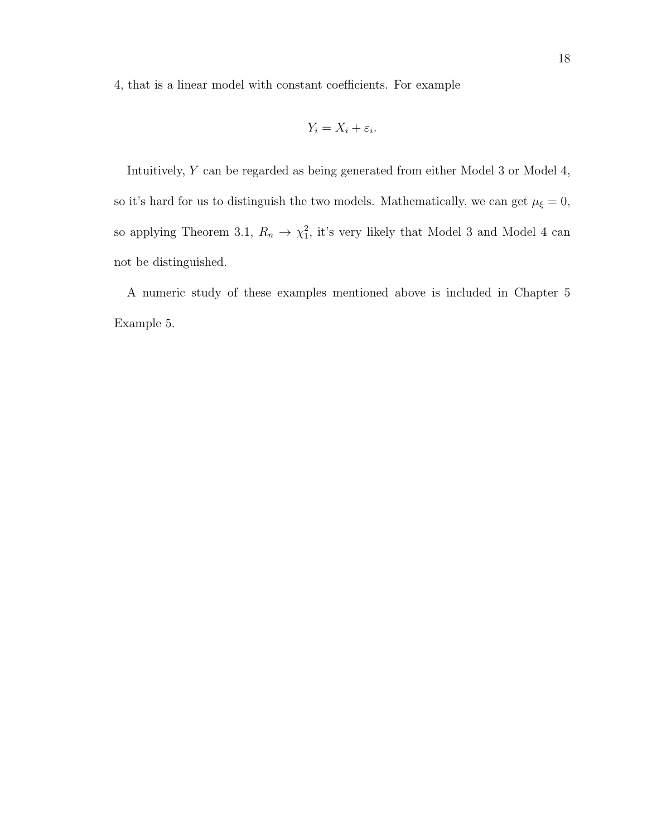4, that is a linear model with constant coefficients. For example

$$
Y_i = X_i + \varepsilon_i.
$$

Intuitively, Y can be regarded as being generated from either Model 3 or Model 4, so it's hard for us to distinguish the two models. Mathematically, we can get  $\mu_{\xi}=0$ , so applying Theorem 3.1,  $R_n \to \chi_1^2$ , it's very likely that Model 3 and Model 4 can not be distinguished.

A numeric study of these examples mentioned above is included in Chapter 5 Example 5.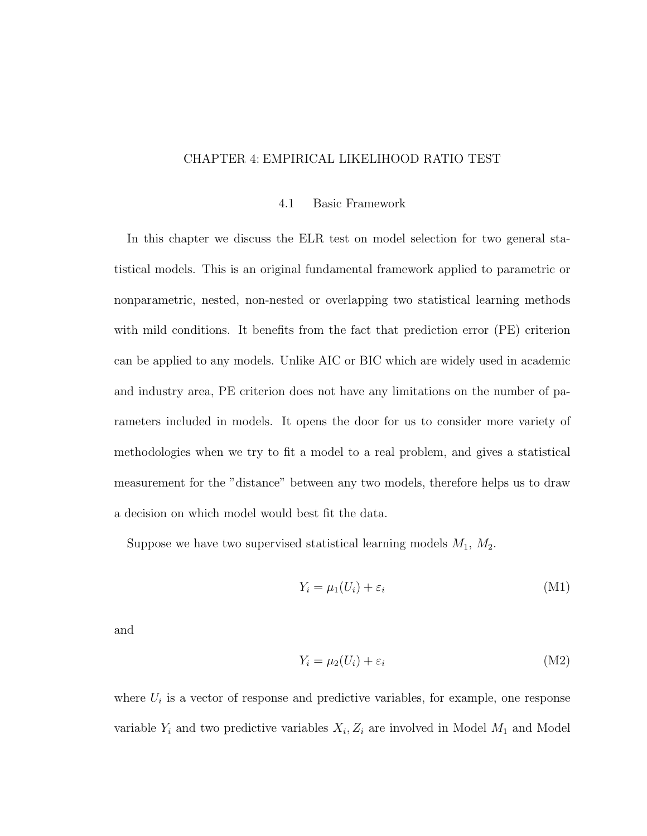## CHAPTER 4: EMPIRICAL LIKELIHOOD RATIO TEST

#### 4.1 Basic Framework

In this chapter we discuss the ELR test on model selection for two general statistical models. This is an original fundamental framework applied to parametric or nonparametric, nested, non-nested or overlapping two statistical learning methods with mild conditions. It benefits from the fact that prediction error (PE) criterion can be applied to any models. Unlike AIC or BIC which are widely used in academic and industry area, PE criterion does not have any limitations on the number of parameters included in models. It opens the door for us to consider more variety of methodologies when we try to fit a model to a real problem, and gives a statistical measurement for the "distance" between any two models, therefore helps us to draw a decision on which model would best fit the data.

Suppose we have two supervised statistical learning models  $M_1$ ,  $M_2$ .

$$
Y_i = \mu_1(U_i) + \varepsilon_i \tag{M1}
$$

and

$$
Y_i = \mu_2(U_i) + \varepsilon_i \tag{M2}
$$

where  $U_i$  is a vector of response and predictive variables, for example, one response variable  $Y_i$  and two predictive variables  $X_i, Z_i$  are involved in Model  $M_1$  and Model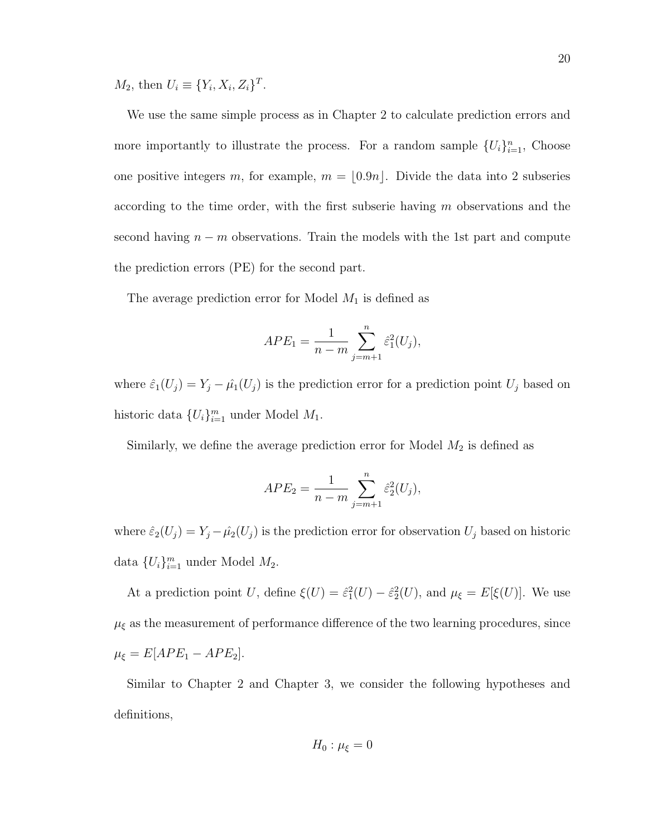$M_2$ , then  $U_i \equiv \{Y_i, X_i, Z_i\}^T$ .

We use the same simple process as in Chapter 2 to calculate prediction errors and more importantly to illustrate the process. For a random sample  $\{U_i\}_{i=1}^n$ , Choose one positive integers m, for example,  $m = \lfloor 0.9n \rfloor$ . Divide the data into 2 subseries according to the time order, with the first subserie having  $m$  observations and the second having  $n - m$  observations. Train the models with the 1st part and compute the prediction errors (PE) for the second part.

The average prediction error for Model  $M_1$  is defined as

$$
APE_1 = \frac{1}{n-m} \sum_{j=m+1}^{n} \hat{\varepsilon}_1^2(U_j),
$$

where  $\hat{\varepsilon}_1(U_j) = Y_j - \hat{\mu}_1(U_j)$  is the prediction error for a prediction point  $U_j$  based on historic data  $\{U_i\}_{i=1}^m$  under Model  $M_1$ .

Similarly, we define the average prediction error for Model  $M_2$  is defined as

$$
APE_2 = \frac{1}{n-m} \sum_{j=m+1}^{n} \hat{\varepsilon}_2^2(U_j),
$$

where  $\hat{\varepsilon}_2(U_j) = Y_j - \hat{\mu_2}(U_j)$  is the prediction error for observation  $U_j$  based on historic data  $\{U_i\}_{i=1}^m$  under Model  $M_2$ .

At a prediction point U, define  $\xi(U) = \hat{\varepsilon}_1^2(U) - \hat{\varepsilon}_2^2(U)$ , and  $\mu_{\xi} = E[\xi(U)]$ . We use  $\mu_{\xi}$  as the measurement of performance difference of the two learning procedures, since  $\mu_{\xi} = E[APE_1 - APE_2].$ 

Similar to Chapter 2 and Chapter 3, we consider the following hypotheses and definitions,

$$
H_0: \mu_{\xi} = 0
$$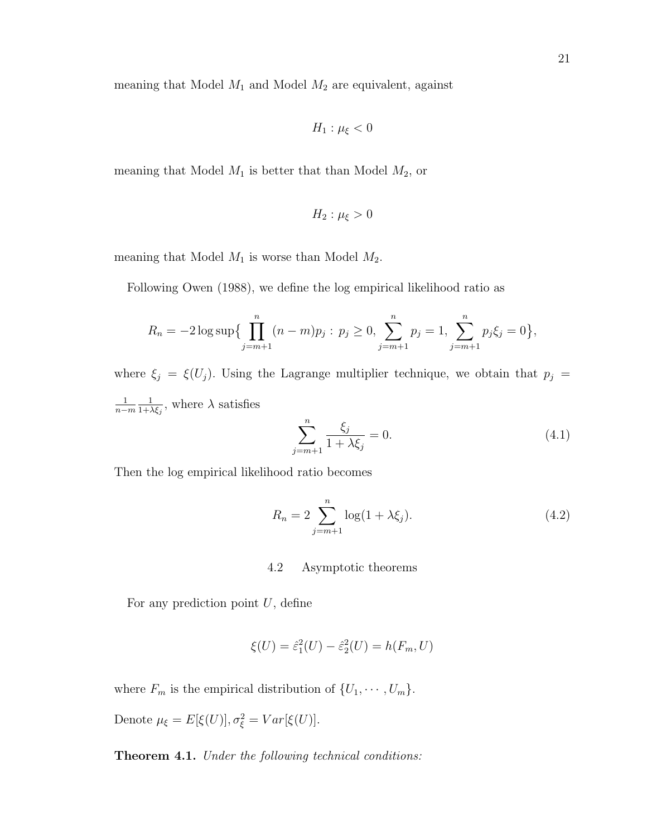meaning that Model  $M_1$  and Model  $M_2$  are equivalent, against

$$
H_1: \mu_{\xi} < 0
$$

meaning that Model  $M_1$  is better that than Model  $M_2$ , or

$$
H_2: \mu_{\xi} > 0
$$

meaning that Model  $M_1$  is worse than Model  $M_2$ .

Following Owen (1988), we define the log empirical likelihood ratio as

$$
R_n = -2\log \sup \{ \prod_{j=m+1}^n (n-m)p_j : p_j \ge 0, \sum_{j=m+1}^n p_j = 1, \sum_{j=m+1}^n p_j \xi_j = 0 \},
$$

where  $\xi_j = \xi(U_j)$ . Using the Lagrange multiplier technique, we obtain that  $p_j =$ 1 n−m 1  $\frac{1}{1+\lambda \xi_j}$ , where  $\lambda$  satisfies

$$
\sum_{j=m+1}^{n} \frac{\xi_j}{1 + \lambda \xi_j} = 0.
$$
\n(4.1)

Then the log empirical likelihood ratio becomes

$$
R_n = 2 \sum_{j=m+1}^{n} \log(1 + \lambda \xi_j).
$$
 (4.2)

## 4.2 Asymptotic theorems

For any prediction point  $U$ , define

$$
\xi(U) = \hat{\varepsilon}_1^2(U) - \hat{\varepsilon}_2^2(U) = h(F_m, U)
$$

where  $F_m$  is the empirical distribution of  $\{U_1, \dots, U_m\}$ .

Denote  $\mu_{\xi} = E[\xi(U)], \sigma_{\xi}^2 = Var[\xi(U)].$ 

Theorem 4.1. Under the following technical conditions: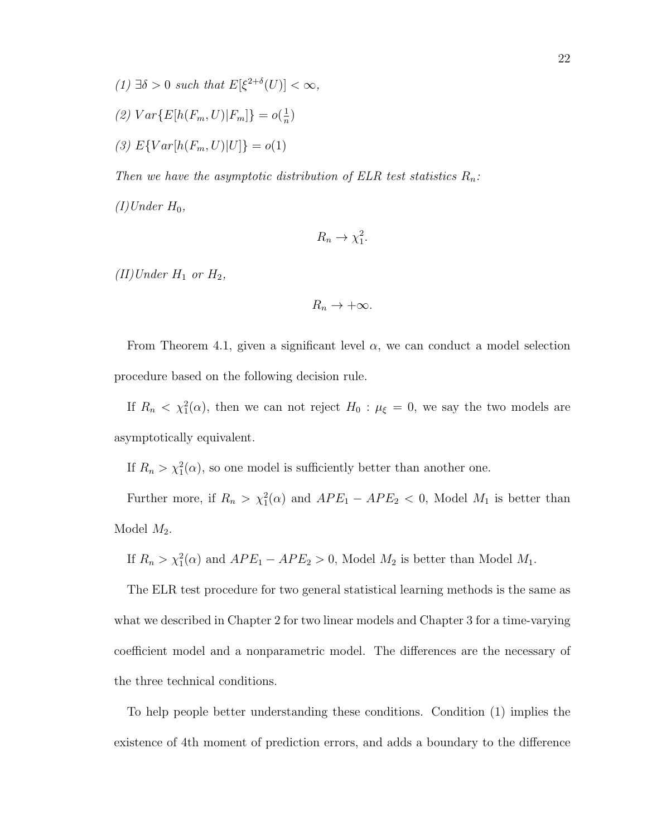- (1)  $\exists \delta > 0$  such that  $E[\xi^{2+\delta}(U)] < \infty$ ,
- (2)  $Var\{E[h(F_m, U)|F_m]\} = o(\frac{1}{n})$  $\frac{1}{n}$
- (3)  $E\{Var[h(F_m, U)|U]\} = o(1)$

Then we have the asymptotic distribution of ELR test statistics  $R_n$ :

 $(I)$ Under  $H_0$ ,

$$
R_n \to \chi_1^2.
$$

(II)Under  $H_1$  or  $H_2$ ,

$$
R_n\to+\infty.
$$

From Theorem 4.1, given a significant level  $\alpha$ , we can conduct a model selection procedure based on the following decision rule.

If  $R_n < \chi_1^2(\alpha)$ , then we can not reject  $H_0: \mu_{\xi} = 0$ , we say the two models are asymptotically equivalent.

If  $R_n > \chi_1^2(\alpha)$ , so one model is sufficiently better than another one.

Further more, if  $R_n > \chi_1^2(\alpha)$  and  $APE_1 - APE_2 < 0$ , Model  $M_1$  is better than Model  $M_2$ .

If  $R_n > \chi_1^2(\alpha)$  and  $APE_1 - APE_2 > 0$ , Model  $M_2$  is better than Model  $M_1$ .

The ELR test procedure for two general statistical learning methods is the same as what we described in Chapter 2 for two linear models and Chapter 3 for a time-varying coefficient model and a nonparametric model. The differences are the necessary of the three technical conditions.

To help people better understanding these conditions. Condition (1) implies the existence of 4th moment of prediction errors, and adds a boundary to the difference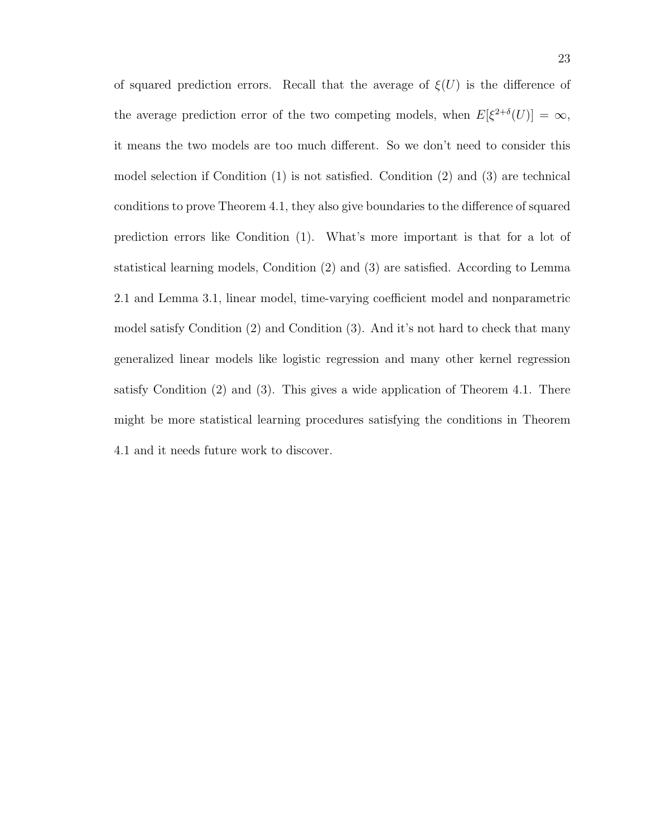of squared prediction errors. Recall that the average of  $\xi(U)$  is the difference of the average prediction error of the two competing models, when  $E[\xi^{2+\delta}(U)] = \infty$ , it means the two models are too much different. So we don't need to consider this model selection if Condition (1) is not satisfied. Condition (2) and (3) are technical conditions to prove Theorem 4.1, they also give boundaries to the difference of squared prediction errors like Condition (1). What's more important is that for a lot of statistical learning models, Condition (2) and (3) are satisfied. According to Lemma 2.1 and Lemma 3.1, linear model, time-varying coefficient model and nonparametric model satisfy Condition (2) and Condition (3). And it's not hard to check that many generalized linear models like logistic regression and many other kernel regression satisfy Condition (2) and (3). This gives a wide application of Theorem 4.1. There might be more statistical learning procedures satisfying the conditions in Theorem 4.1 and it needs future work to discover.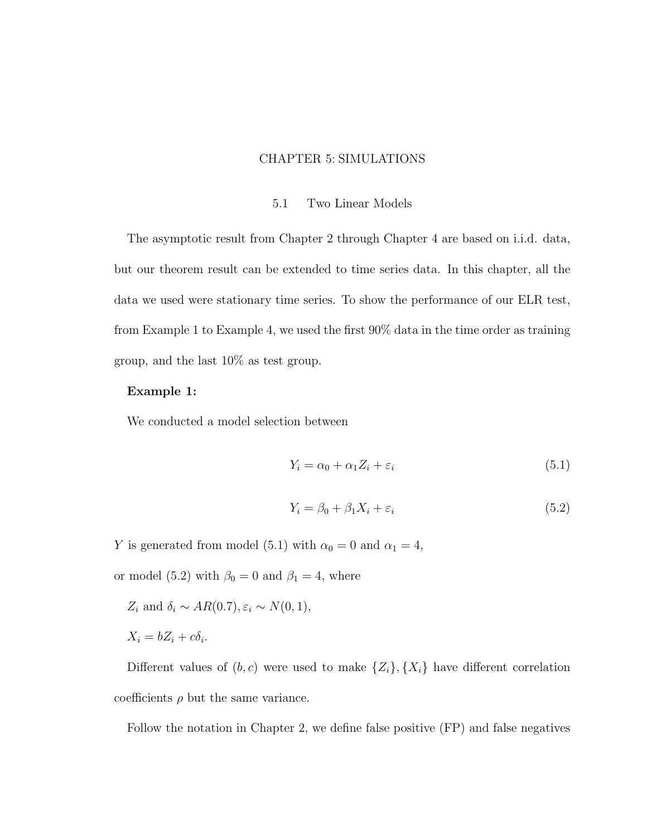## CHAPTER 5: SIMULATIONS

#### 5.1 Two Linear Models

The asymptotic result from Chapter 2 through Chapter 4 are based on i.i.d. data, but our theorem result can be extended to time series data. In this chapter, all the data we used were stationary time series. To show the performance of our ELR test, from Example 1 to Example 4, we used the first 90% data in the time order as training group, and the last 10% as test group.

#### Example 1:

We conducted a model selection between

$$
Y_i = \alpha_0 + \alpha_1 Z_i + \varepsilon_i \tag{5.1}
$$

$$
Y_i = \beta_0 + \beta_1 X_i + \varepsilon_i \tag{5.2}
$$

Y is generated from model (5.1) with  $\alpha_0 = 0$  and  $\alpha_1 = 4$ ,

or model (5.2) with  $\beta_0 = 0$  and  $\beta_1 = 4$ , where

 $Z_i$  and  $\delta_i \sim AR(0.7), \varepsilon_i \sim N(0, 1),$ 

$$
X_i = bZ_i + c\delta_i.
$$

Different values of  $(b, c)$  were used to make  $\{Z_i\}, \{X_i\}$  have different correlation coefficients  $\rho$  but the same variance.

Follow the notation in Chapter 2, we define false positive (FP) and false negatives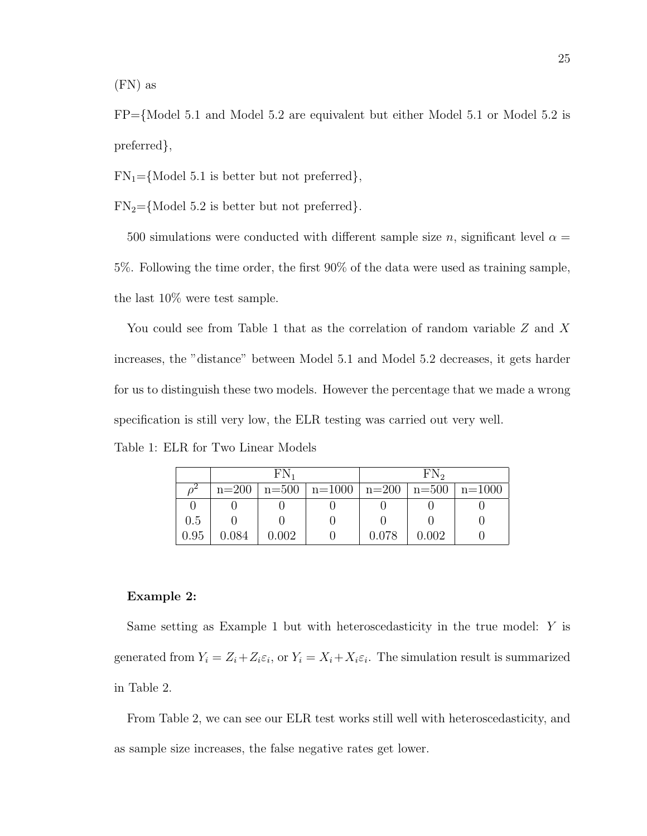(FN) as

FP={Model 5.1 and Model 5.2 are equivalent but either Model 5.1 or Model 5.2 is preferred},

 $FN_1 = \{Model 5.1$  is better but not preferred,

 $FN_2 = \{Model\ 5.2 \text{ is better but not preferred}\}.$ 

500 simulations were conducted with different sample size n, significant level  $\alpha =$ 5%. Following the time order, the first 90% of the data were used as training sample, the last 10% were test sample.

You could see from Table 1 that as the correlation of random variable Z and X increases, the "distance" between Model 5.1 and Model 5.2 decreases, it gets harder for us to distinguish these two models. However the percentage that we made a wrong specification is still very low, the ELR testing was carried out very well. Table 1: ELR for Two Linear Models

|      | $FN_1$ |       | FN <sub>2</sub>                                             |       |       |  |
|------|--------|-------|-------------------------------------------------------------|-------|-------|--|
|      |        |       | $n=200$   $n=500$   $n=1000$   $n=200$   $n=500$   $n=1000$ |       |       |  |
|      |        |       |                                                             |       |       |  |
| 0.5  |        |       |                                                             |       |       |  |
| 0.95 | 0.084  | 1.002 |                                                             | 0.078 | 0.002 |  |

#### Example 2:

Same setting as Example 1 but with heteroscedasticity in the true model: Y is generated from  $Y_i = Z_i + Z_i \varepsilon_i$ , or  $Y_i = X_i + X_i \varepsilon_i$ . The simulation result is summarized in Table 2.

From Table 2, we can see our ELR test works still well with heteroscedasticity, and as sample size increases, the false negative rates get lower.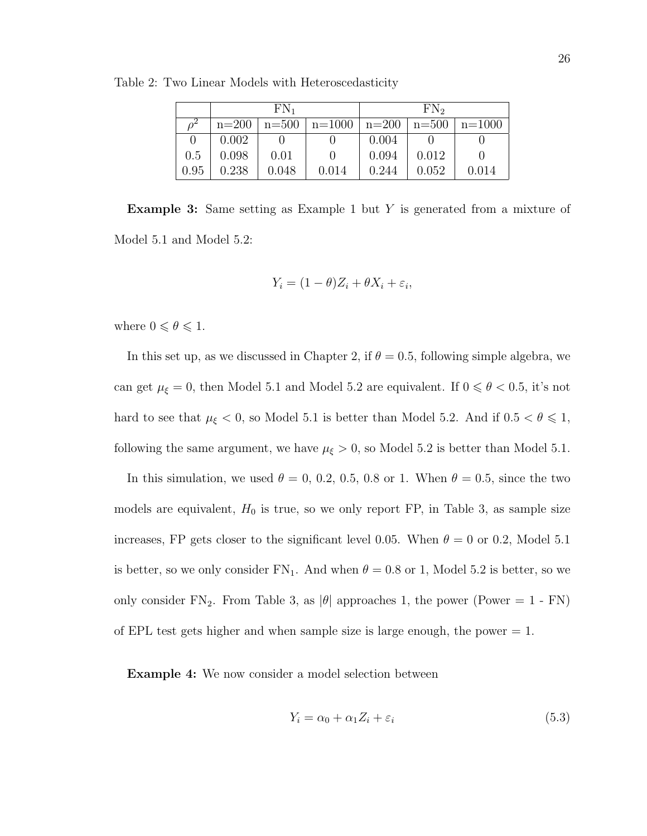|                  | $FN_1$ |       |                                                             |       |       | $FN_{2}$ |  |
|------------------|--------|-------|-------------------------------------------------------------|-------|-------|----------|--|
| $\overline{O}^2$ |        |       | $n=200$   $n=500$   $n=1000$   $n=200$   $n=500$   $n=1000$ |       |       |          |  |
|                  | 0.002  |       |                                                             | 0.004 |       |          |  |
| 0.5              | 0.098  | 0.01  |                                                             | 0.094 | 0.012 |          |  |
| 0.95             | 0.238  | 0.048 | 0.014                                                       | 0.244 | 0.052 | 0.014    |  |

Table 2: Two Linear Models with Heteroscedasticity

Example 3: Same setting as Example 1 but Y is generated from a mixture of Model 5.1 and Model 5.2:

$$
Y_i = (1 - \theta)Z_i + \theta X_i + \varepsilon_i,
$$

where  $0\leqslant \theta \leqslant 1.$ 

In this set up, as we discussed in Chapter 2, if  $\theta = 0.5$ , following simple algebra, we can get  $\mu_{\xi} = 0$ , then Model 5.1 and Model 5.2 are equivalent. If  $0 \le \theta < 0.5$ , it's not hard to see that  $\mu_{\xi} < 0$ , so Model 5.1 is better than Model 5.2. And if  $0.5 < \theta \le 1$ , following the same argument, we have  $\mu_{\xi} > 0$ , so Model 5.2 is better than Model 5.1.

In this simulation, we used  $\theta = 0, 0.2, 0.5, 0.8$  or 1. When  $\theta = 0.5$ , since the two models are equivalent,  $H_0$  is true, so we only report FP, in Table 3, as sample size increases, FP gets closer to the significant level 0.05. When  $\theta = 0$  or 0.2, Model 5.1 is better, so we only consider  $FN_1$ . And when  $\theta = 0.8$  or 1, Model 5.2 is better, so we only consider  $FN_2$ . From Table 3, as  $|\theta|$  approaches 1, the power (Power = 1 - FN) of EPL test gets higher and when sample size is large enough, the power  $= 1$ .

Example 4: We now consider a model selection between

$$
Y_i = \alpha_0 + \alpha_1 Z_i + \varepsilon_i \tag{5.3}
$$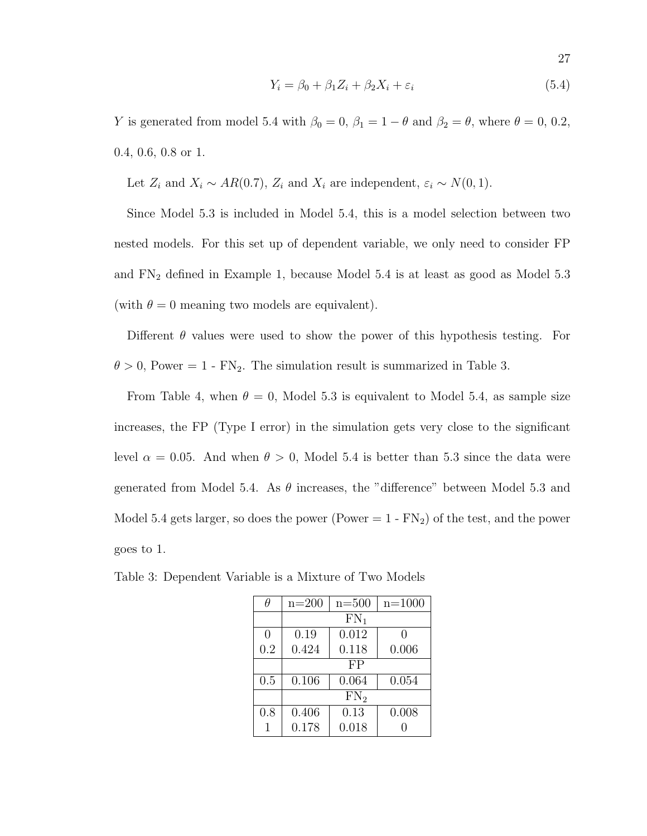$$
Y_i = \beta_0 + \beta_1 Z_i + \beta_2 X_i + \varepsilon_i \tag{5.4}
$$

Y is generated from model 5.4 with  $\beta_0 = 0$ ,  $\beta_1 = 1 - \theta$  and  $\beta_2 = \theta$ , where  $\theta = 0$ , 0.2, 0.4, 0.6, 0.8 or 1.

Let  $Z_i$  and  $X_i \sim AR(0.7)$ ,  $Z_i$  and  $X_i$  are independent,  $\varepsilon_i \sim N(0, 1)$ .

Since Model 5.3 is included in Model 5.4, this is a model selection between two nested models. For this set up of dependent variable, we only need to consider FP and  $FN_2$  defined in Example 1, because Model 5.4 is at least as good as Model 5.3 (with  $\theta = 0$  meaning two models are equivalent).

Different  $\theta$  values were used to show the power of this hypothesis testing. For  $\theta > 0$ , Power = 1 - FN<sub>2</sub>. The simulation result is summarized in Table 3.

From Table 4, when  $\theta = 0$ , Model 5.3 is equivalent to Model 5.4, as sample size increases, the FP (Type I error) in the simulation gets very close to the significant level  $\alpha = 0.05$ . And when  $\theta > 0$ , Model 5.4 is better than 5.3 since the data were generated from Model 5.4. As  $\theta$  increases, the "difference" between Model 5.3 and Model 5.4 gets larger, so does the power (Power  $= 1$  -  $FN<sub>2</sub>$ ) of the test, and the power goes to 1.

| Ĥ   | $n=200$ | n=500  | $n = 1000$ |
|-----|---------|--------|------------|
|     |         | $FN_1$ |            |
| 0   | 0.19    | 0.012  |            |
| 0.2 | 0.424   | 0.118  | 0.006      |
|     |         | FP     |            |
| 0.5 | 0.106   | 0.064  | 0.054      |
|     | $FN_2$  |        |            |
| 0.8 | 0.406   | 0.13   | 0.008      |
|     | 0.178   | 0.018  |            |

Table 3: Dependent Variable is a Mixture of Two Models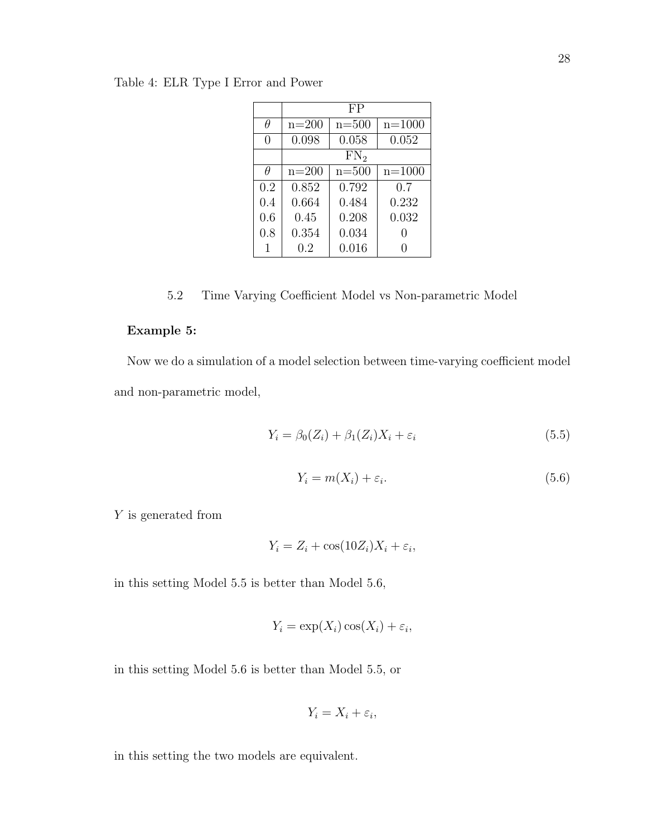Table 4: ELR Type I Error and Power

|     | FP    |           |            |
|-----|-------|-----------|------------|
| θ   | n=200 | $n = 500$ | $n = 1000$ |
| 0   | 0.098 | 0.058     | 0.052      |
|     |       | $FN_2$    |            |
| Ĥ   | n=200 | $n = 500$ | $n = 1000$ |
| 0.2 | 0.852 | 0.792     | 0.7        |
| 0.4 | 0.664 | 0.484     | 0.232      |
| 0.6 | 0.45  | 0.208     | 0.032      |
| 0.8 | 0.354 | 0.034     | 0          |
|     | 0.2   | 0.016     |            |

5.2 Time Varying Coefficient Model vs Non-parametric Model

## Example 5:

Now we do a simulation of a model selection between time-varying coefficient model and non-parametric model,

$$
Y_i = \beta_0(Z_i) + \beta_1(Z_i)X_i + \varepsilon_i \tag{5.5}
$$

$$
Y_i = m(X_i) + \varepsilon_i. \tag{5.6}
$$

Y is generated from

$$
Y_i = Z_i + \cos(10Z_i)X_i + \varepsilon_i,
$$

in this setting Model 5.5 is better than Model 5.6,

$$
Y_i = \exp(X_i)\cos(X_i) + \varepsilon_i,
$$

in this setting Model 5.6 is better than Model 5.5, or

$$
Y_i = X_i + \varepsilon_i,
$$

in this setting the two models are equivalent.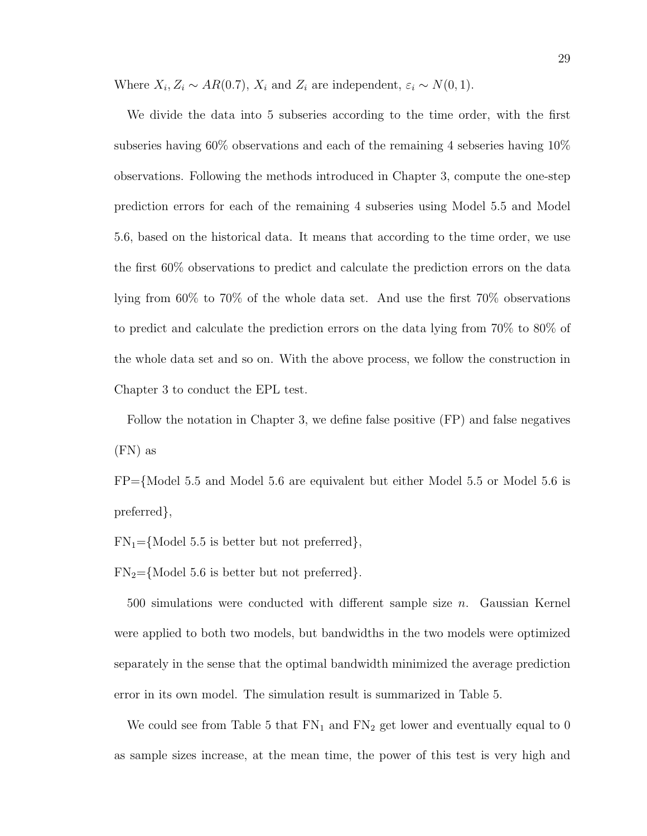Where  $X_i, Z_i \sim AR(0.7), X_i$  and  $Z_i$  are independent,  $\varepsilon_i \sim N(0, 1)$ .

We divide the data into 5 subseries according to the time order, with the first subseries having 60% observations and each of the remaining 4 sebseries having 10% observations. Following the methods introduced in Chapter 3, compute the one-step prediction errors for each of the remaining 4 subseries using Model 5.5 and Model 5.6, based on the historical data. It means that according to the time order, we use the first 60% observations to predict and calculate the prediction errors on the data lying from 60% to 70% of the whole data set. And use the first 70% observations to predict and calculate the prediction errors on the data lying from 70% to 80% of the whole data set and so on. With the above process, we follow the construction in Chapter 3 to conduct the EPL test.

Follow the notation in Chapter 3, we define false positive (FP) and false negatives (FN) as

FP={Model 5.5 and Model 5.6 are equivalent but either Model 5.5 or Model 5.6 is preferred},

 $FN_1 = \{Model\ 5.5 \text{ is better but not preferred}\},\$ 

 $FN_2 = \{Model\ 5.6 \text{ is better but not preferred}\}.$ 

500 simulations were conducted with different sample size n. Gaussian Kernel were applied to both two models, but bandwidths in the two models were optimized separately in the sense that the optimal bandwidth minimized the average prediction error in its own model. The simulation result is summarized in Table 5.

We could see from Table 5 that  $FN_1$  and  $FN_2$  get lower and eventually equal to 0 as sample sizes increase, at the mean time, the power of this test is very high and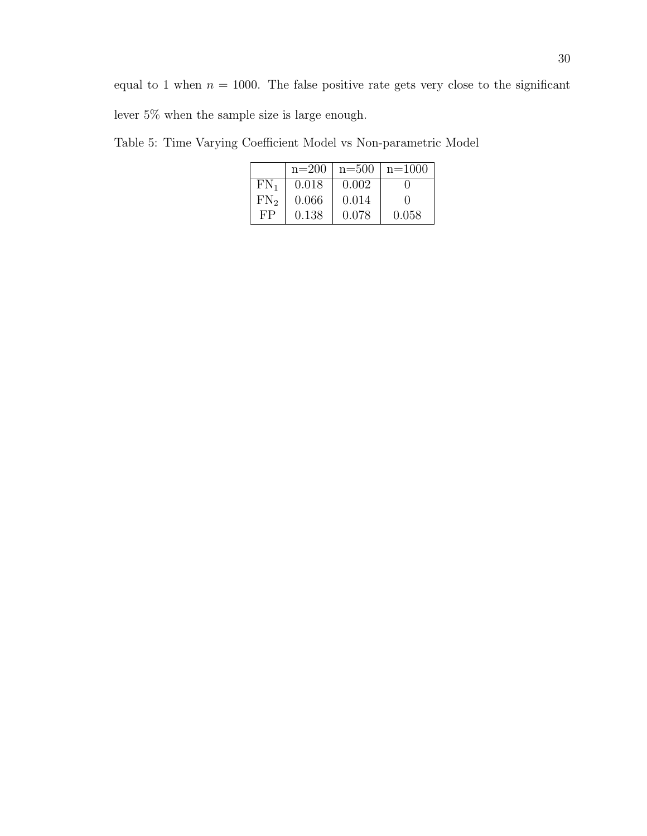equal to 1 when  $n = 1000$ . The false positive rate gets very close to the significant lever 5% when the sample size is large enough.

 $n=200$   $n=500$   $n=1000$  $\begin{tabular}{|c|c|c|c|c|} \hline FN_1 & 0.018 & 0.002 & 0 \\ \hline FN_2 & 0.066 & 0.014 & 0 \\ \hline \end{tabular}$  $\begin{array}{|c|c|c|c|c|} \hline 0.066 & 0.014 & 0 \ \hline 0.138 & 0.078 & 0.058 \ \hline \end{array}$  $FP$  0.138 0.078

Table 5: Time Varying Coefficient Model vs Non-parametric Model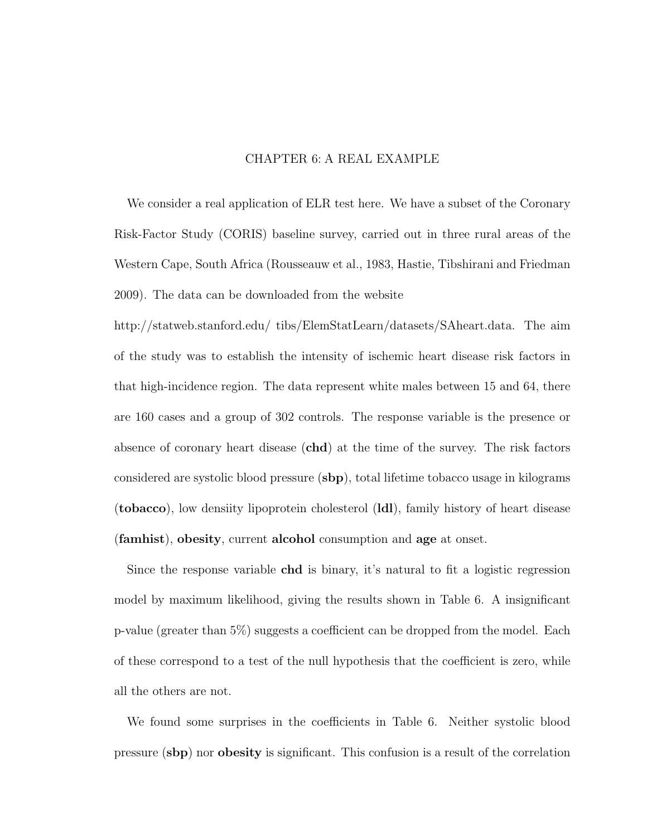#### CHAPTER 6: A REAL EXAMPLE

We consider a real application of ELR test here. We have a subset of the Coronary Risk-Factor Study (CORIS) baseline survey, carried out in three rural areas of the Western Cape, South Africa (Rousseauw et al., 1983, Hastie, Tibshirani and Friedman 2009). The data can be downloaded from the website

http://statweb.stanford.edu/ tibs/ElemStatLearn/datasets/SAheart.data. The aim of the study was to establish the intensity of ischemic heart disease risk factors in that high-incidence region. The data represent white males between 15 and 64, there are 160 cases and a group of 302 controls. The response variable is the presence or absence of coronary heart disease (chd) at the time of the survey. The risk factors considered are systolic blood pressure (sbp), total lifetime tobacco usage in kilograms (tobacco), low densiity lipoprotein cholesterol (ldl), family history of heart disease (famhist), obesity, current alcohol consumption and age at onset.

Since the response variable chd is binary, it's natural to fit a logistic regression model by maximum likelihood, giving the results shown in Table 6. A insignificant p-value (greater than 5%) suggests a coefficient can be dropped from the model. Each of these correspond to a test of the null hypothesis that the coefficient is zero, while all the others are not.

We found some surprises in the coefficients in Table 6. Neither systolic blood pressure (sbp) nor obesity is significant. This confusion is a result of the correlation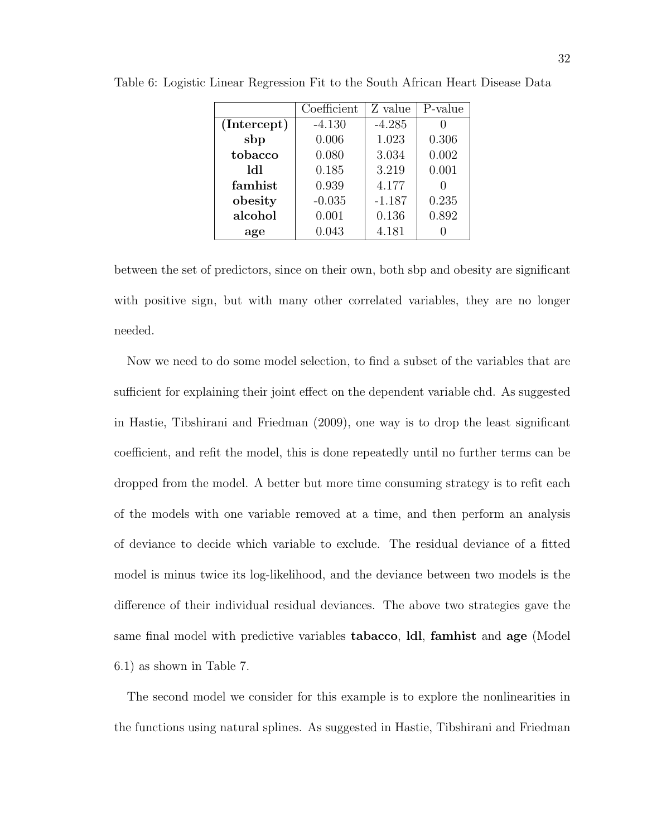|             | Coefficient | Z value  | P-value |
|-------------|-------------|----------|---------|
| (Intercept) | $-4.130$    | $-4.285$ |         |
| sbp         | 0.006       | 1.023    | 0.306   |
| tobacco     | 0.080       | 3.034    | 0.002   |
| 1d1         | 0.185       | 3.219    | 0.001   |
| famhist     | 0.939       | 4.177    |         |
| obesity     | $-0.035$    | $-1.187$ | 0.235   |
| alcohol     | 0.001       | 0.136    | 0.892   |
| age         | 0.043       | 4.181    |         |

Table 6: Logistic Linear Regression Fit to the South African Heart Disease Data

between the set of predictors, since on their own, both sbp and obesity are significant with positive sign, but with many other correlated variables, they are no longer needed.

Now we need to do some model selection, to find a subset of the variables that are sufficient for explaining their joint effect on the dependent variable chd. As suggested in Hastie, Tibshirani and Friedman (2009), one way is to drop the least significant coefficient, and refit the model, this is done repeatedly until no further terms can be dropped from the model. A better but more time consuming strategy is to refit each of the models with one variable removed at a time, and then perform an analysis of deviance to decide which variable to exclude. The residual deviance of a fitted model is minus twice its log-likelihood, and the deviance between two models is the difference of their individual residual deviances. The above two strategies gave the same final model with predictive variables tabacco, ldl, famhist and age (Model 6.1) as shown in Table 7.

The second model we consider for this example is to explore the nonlinearities in the functions using natural splines. As suggested in Hastie, Tibshirani and Friedman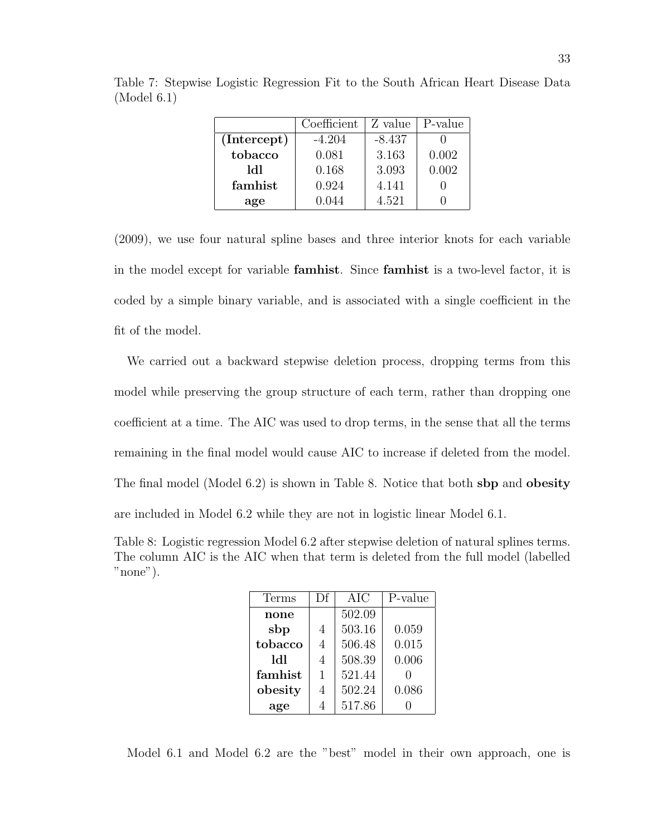|             | Coefficient | Z value  | P-value |
|-------------|-------------|----------|---------|
| (Intercept) | $-4.204$    | $-8.437$ |         |
| tobacco     | 0.081       | 3.163    | 0.002   |
| 141         | 0.168       | 3.093    | 0.002   |
| famhist     | 0.924       | 4.141    |         |
| age         | 0.044       | 4.521    |         |

Table 7: Stepwise Logistic Regression Fit to the South African Heart Disease Data (Model 6.1)

(2009), we use four natural spline bases and three interior knots for each variable in the model except for variable famhist. Since famhist is a two-level factor, it is coded by a simple binary variable, and is associated with a single coefficient in the fit of the model.

We carried out a backward stepwise deletion process, dropping terms from this model while preserving the group structure of each term, rather than dropping one coefficient at a time. The AIC was used to drop terms, in the sense that all the terms remaining in the final model would cause AIC to increase if deleted from the model. The final model (Model 6.2) is shown in Table 8. Notice that both sbp and obesity are included in Model 6.2 while they are not in logistic linear Model 6.1.

Table 8: Logistic regression Model 6.2 after stepwise deletion of natural splines terms. The column AIC is the AIC when that term is deleted from the full model (labelled "none").

| Terms   | Df             | AIC    | P-value |
|---------|----------------|--------|---------|
| none    |                | 502.09 |         |
| sbp     | 4              | 503.16 | 0.059   |
| tobacco | $\overline{4}$ | 506.48 | 0.015   |
| 1d1     | $\overline{4}$ | 508.39 | 0.006   |
| famhist | $\mathbf{1}$   | 521.44 |         |
| obesity | $\overline{4}$ | 502.24 | 0.086   |
| age     |                | 517.86 |         |

Model 6.1 and Model 6.2 are the "best" model in their own approach, one is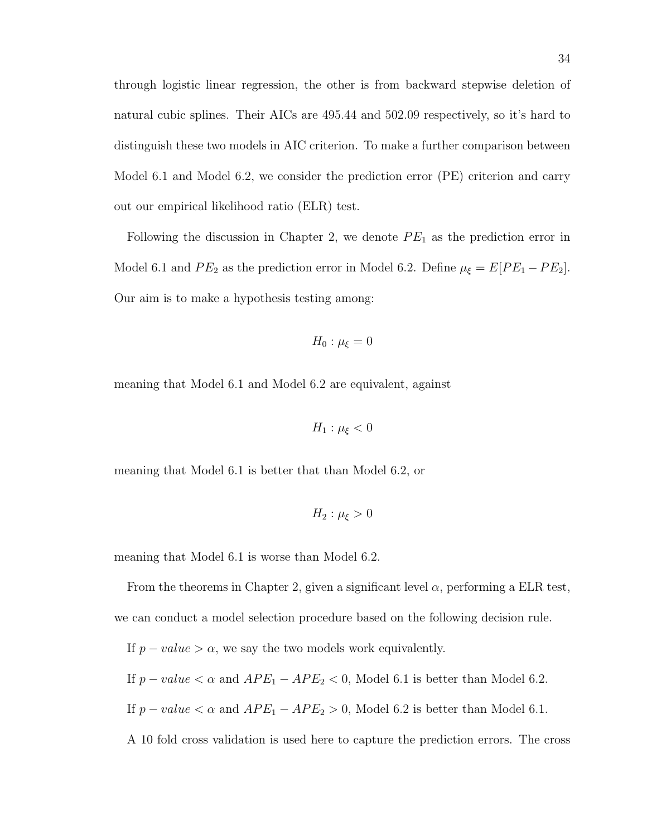through logistic linear regression, the other is from backward stepwise deletion of natural cubic splines. Their AICs are 495.44 and 502.09 respectively, so it's hard to distinguish these two models in AIC criterion. To make a further comparison between Model 6.1 and Model 6.2, we consider the prediction error (PE) criterion and carry out our empirical likelihood ratio (ELR) test.

Following the discussion in Chapter 2, we denote  $PE<sub>1</sub>$  as the prediction error in Model 6.1 and  $PE_2$  as the prediction error in Model 6.2. Define  $\mu_{\xi} = E[PE_1 - PE_2]$ . Our aim is to make a hypothesis testing among:

$$
H_0: \mu_{\xi} = 0
$$

meaning that Model 6.1 and Model 6.2 are equivalent, against

$$
H_1: \mu_{\xi} < 0
$$

meaning that Model 6.1 is better that than Model 6.2, or

$$
H_2: \mu_{\xi} > 0
$$

meaning that Model 6.1 is worse than Model 6.2.

From the theorems in Chapter 2, given a significant level  $\alpha$ , performing a ELR test, we can conduct a model selection procedure based on the following decision rule. If  $p-value > \alpha$ , we say the two models work equivalently. If  $p-value < \alpha$  and  $APE_1 - APE_2 < 0$ , Model 6.1 is better than Model 6.2. If  $p-value < \alpha$  and  $APE_1 - APE_2 > 0$ , Model 6.2 is better than Model 6.1. A 10 fold cross validation is used here to capture the prediction errors. The cross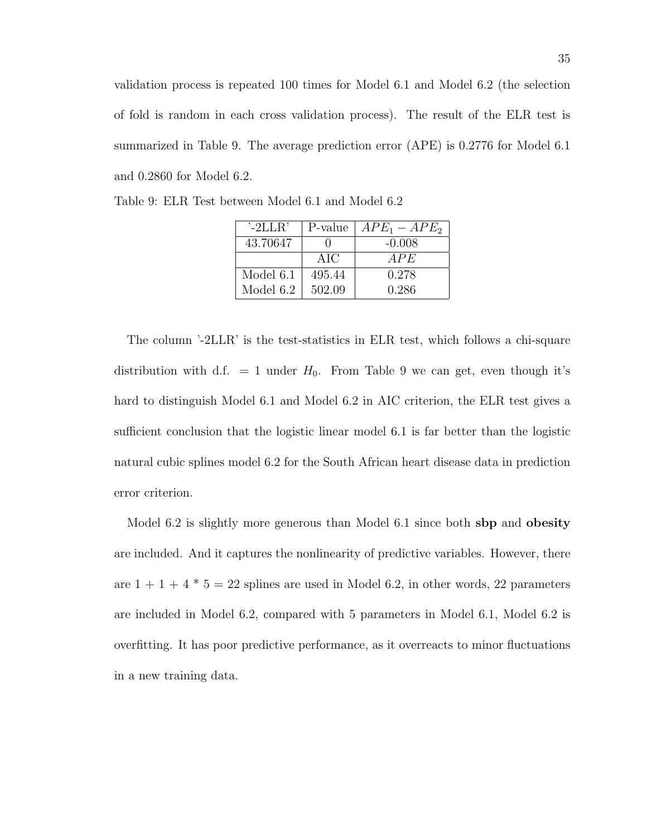validation process is repeated 100 times for Model 6.1 and Model 6.2 (the selection of fold is random in each cross validation process). The result of the ELR test is summarized in Table 9. The average prediction error (APE) is 0.2776 for Model 6.1 and 0.2860 for Model 6.2.

| $^{\prime}$ -2LLR' | P-value | $APE_1 - APE_2$ |
|--------------------|---------|-----------------|
| 43.70647           |         | $-0.008$        |
|                    | AIC     | APE             |
| Model 6.1          | 495.44  | 0.278           |
| Model 6.2          | 502.09  | 0.286           |

Table 9: ELR Test between Model 6.1 and Model 6.2

The column '-2LLR' is the test-statistics in ELR test, which follows a chi-square distribution with d.f.  $= 1$  under  $H_0$ . From Table 9 we can get, even though it's hard to distinguish Model 6.1 and Model 6.2 in AIC criterion, the ELR test gives a sufficient conclusion that the logistic linear model 6.1 is far better than the logistic natural cubic splines model 6.2 for the South African heart disease data in prediction error criterion.

Model 6.2 is slightly more generous than Model 6.1 since both sbp and obesity are included. And it captures the nonlinearity of predictive variables. However, there are  $1 + 1 + 4 * 5 = 22$  splines are used in Model 6.2, in other words, 22 parameters are included in Model 6.2, compared with 5 parameters in Model 6.1, Model 6.2 is overfitting. It has poor predictive performance, as it overreacts to minor fluctuations in a new training data.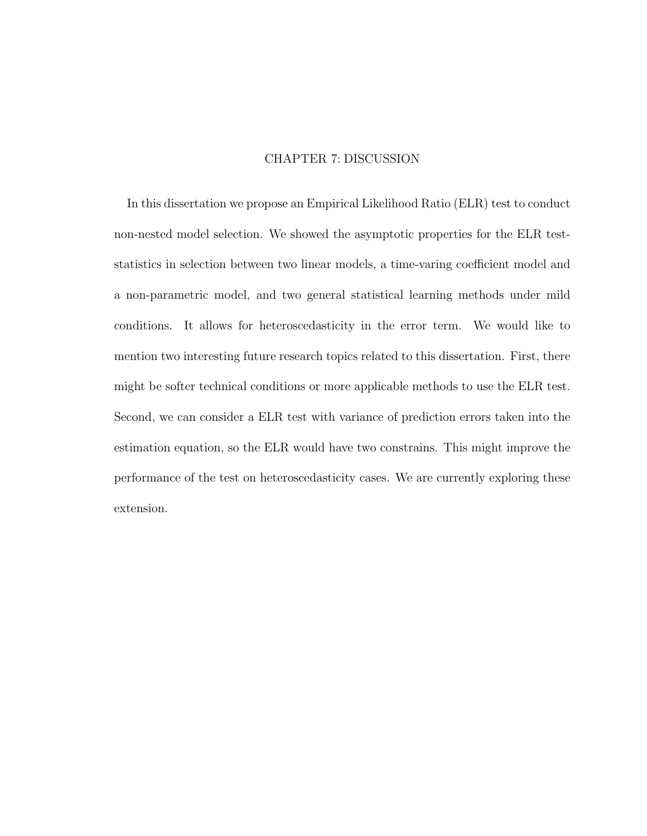## CHAPTER 7: DISCUSSION

In this dissertation we propose an Empirical Likelihood Ratio (ELR) test to conduct non-nested model selection. We showed the asymptotic properties for the ELR teststatistics in selection between two linear models, a time-varing coefficient model and a non-parametric model, and two general statistical learning methods under mild conditions. It allows for heteroscedasticity in the error term. We would like to mention two interesting future research topics related to this dissertation. First, there might be softer technical conditions or more applicable methods to use the ELR test. Second, we can consider a ELR test with variance of prediction errors taken into the estimation equation, so the ELR would have two constrains. This might improve the performance of the test on heteroscedasticity cases. We are currently exploring these extension.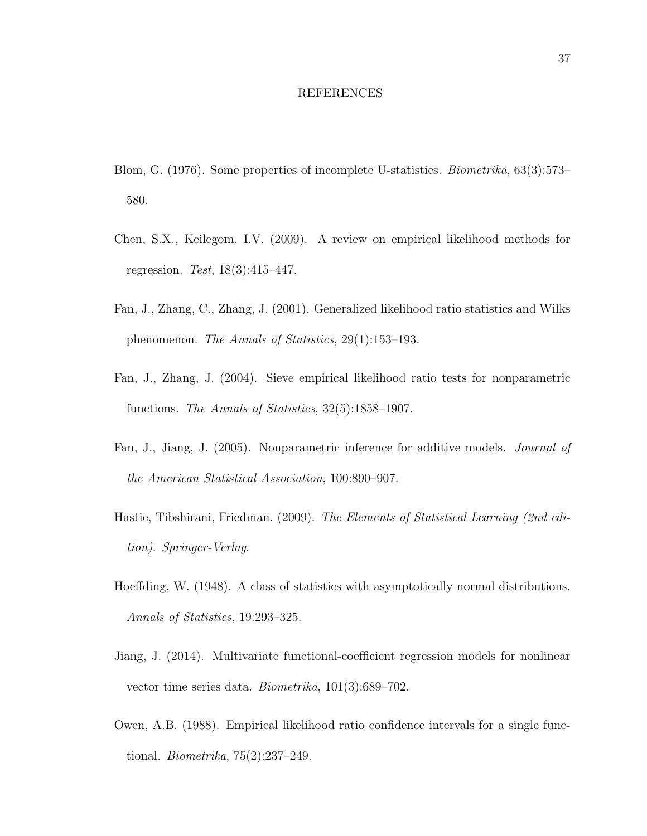#### REFERENCES

- Blom, G. (1976). Some properties of incomplete U-statistics. Biometrika, 63(3):573– 580.
- Chen, S.X., Keilegom, I.V. (2009). A review on empirical likelihood methods for regression. Test, 18(3):415–447.
- Fan, J., Zhang, C., Zhang, J. (2001). Generalized likelihood ratio statistics and Wilks phenomenon. The Annals of Statistics, 29(1):153–193.
- Fan, J., Zhang, J. (2004). Sieve empirical likelihood ratio tests for nonparametric functions. The Annals of Statistics, 32(5):1858–1907.
- Fan, J., Jiang, J. (2005). Nonparametric inference for additive models. Journal of the American Statistical Association, 100:890–907.
- Hastie, Tibshirani, Friedman. (2009). The Elements of Statistical Learning (2nd edition). Springer-Verlag.
- Hoeffding, W. (1948). A class of statistics with asymptotically normal distributions. Annals of Statistics, 19:293–325.
- Jiang, J. (2014). Multivariate functional-coefficient regression models for nonlinear vector time series data. Biometrika, 101(3):689–702.
- Owen, A.B. (1988). Empirical likelihood ratio confidence intervals for a single functional. Biometrika, 75(2):237–249.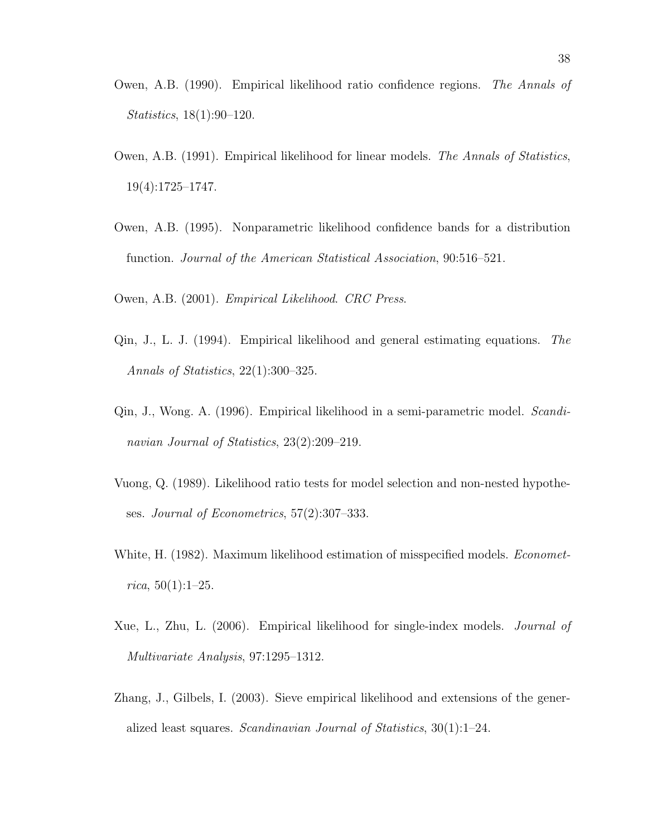- Owen, A.B. (1990). Empirical likelihood ratio confidence regions. The Annals of Statistics, 18(1):90–120.
- Owen, A.B. (1991). Empirical likelihood for linear models. The Annals of Statistics, 19(4):1725–1747.
- Owen, A.B. (1995). Nonparametric likelihood confidence bands for a distribution function. Journal of the American Statistical Association, 90:516–521.
- Owen, A.B. (2001). Empirical Likelihood. CRC Press.
- Qin, J., L. J. (1994). Empirical likelihood and general estimating equations. The Annals of Statistics, 22(1):300–325.
- Qin, J., Wong. A. (1996). Empirical likelihood in a semi-parametric model. Scandinavian Journal of Statistics, 23(2):209–219.
- Vuong, Q. (1989). Likelihood ratio tests for model selection and non-nested hypotheses. Journal of Econometrics, 57(2):307–333.
- White, H. (1982). Maximum likelihood estimation of misspecified models. *Economet* $rica, 50(1):1-25.$
- Xue, L., Zhu, L. (2006). Empirical likelihood for single-index models. Journal of Multivariate Analysis, 97:1295–1312.
- Zhang, J., Gilbels, I. (2003). Sieve empirical likelihood and extensions of the generalized least squares. Scandinavian Journal of Statistics, 30(1):1–24.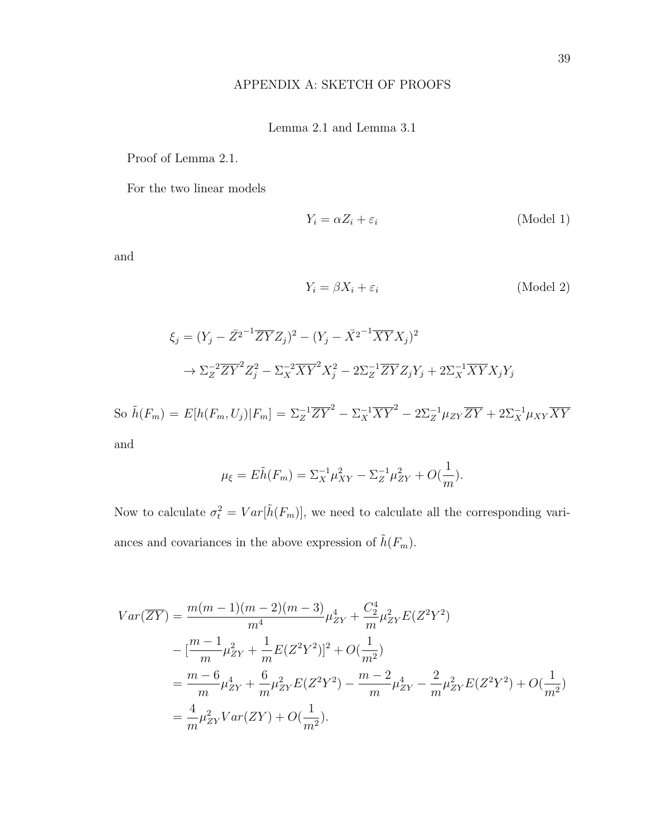## APPENDIX A: SKETCH OF PROOFS

## Lemma 2.1 and Lemma 3.1

Proof of Lemma 2.1.

For the two linear models

$$
Y_i = \alpha Z_i + \varepsilon_i \tag{Model 1}
$$

and

$$
Y_i = \beta X_i + \varepsilon_i \tag{Model 2}
$$

$$
\xi_j = (Y_j - \overline{Z}^{2-1} \overline{ZY} Z_j)^2 - (Y_j - \overline{X}^{2-1} \overline{XY} X_j)^2
$$
  

$$
\rightarrow \Sigma_Z^{-2} \overline{ZY}^2 Z_j^2 - \Sigma_X^{-2} \overline{XY}^2 X_j^2 - 2\Sigma_Z^{-1} \overline{ZY} Z_j Y_j + 2\Sigma_X^{-1} \overline{XY} X_j Y_j
$$

So  $\tilde{h}(F_m) = E[h(F_m, U_j)|F_m] = \Sigma_Z^{-1} \overline{ZY}^2 - \Sigma_X^{-1} \overline{XY}^2 - 2\Sigma_Z^{-1} \mu_{ZY} \overline{ZY} + 2\Sigma_X^{-1} \mu_{XY} \overline{XY}$ and

$$
\mu_{\xi} = E\tilde{h}(F_m) = \Sigma_X^{-1} \mu_{XY}^2 - \Sigma_Z^{-1} \mu_{ZY}^2 + O(\frac{1}{m}).
$$

Now to calculate  $\sigma_t^2 = Var[\tilde{h}(F_m)]$ , we need to calculate all the corresponding variances and covariances in the above expression of  $\tilde{h}(F_m).$ 

$$
Var(\overline{ZY}) = \frac{m(m-1)(m-2)(m-3)}{m^4} \mu_{ZY}^4 + \frac{C_2^4}{m} \mu_{ZY}^2 E(Z^2 Y^2)
$$
  
 
$$
- \left[ \frac{m-1}{m} \mu_{ZY}^2 + \frac{1}{m} E(Z^2 Y^2) \right]^2 + O(\frac{1}{m^2})
$$
  
\n
$$
= \frac{m-6}{m} \mu_{ZY}^4 + \frac{6}{m} \mu_{ZY}^2 E(Z^2 Y^2) - \frac{m-2}{m} \mu_{ZY}^4 - \frac{2}{m} \mu_{ZY}^2 E(Z^2 Y^2) + O(\frac{1}{m^2})
$$
  
\n
$$
= \frac{4}{m} \mu_{ZY}^2 Var(ZY) + O(\frac{1}{m^2}).
$$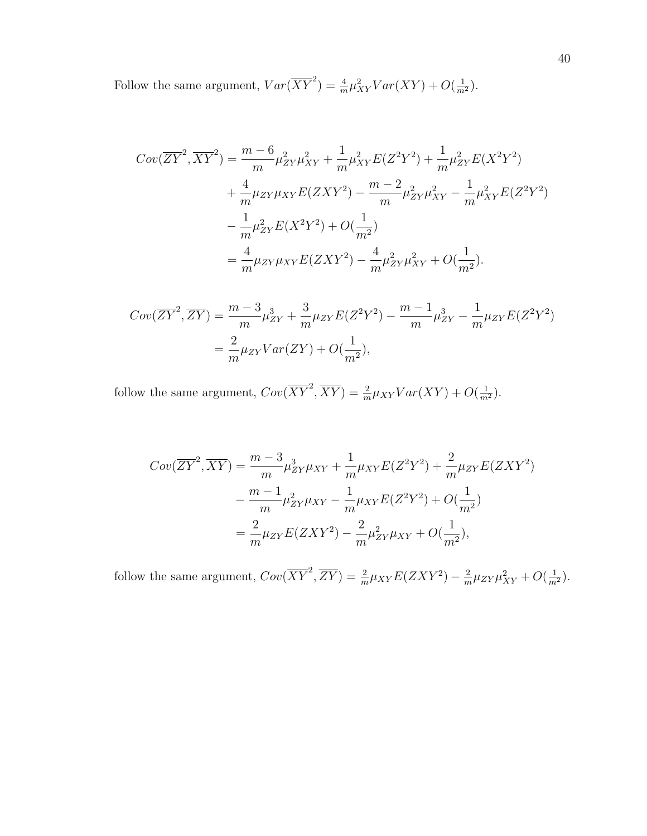Follow the same argument,  $Var(\overline{XY}^2) = \frac{4}{m}\mu_{XY}^2 Var(XY) + O(\frac{1}{m^2}).$ 

$$
Cov(\overline{ZY}^2, \overline{XY}^2) = \frac{m-6}{m} \mu_{ZY}^2 \mu_{XY}^2 + \frac{1}{m} \mu_{XY}^2 E(Z^2 Y^2) + \frac{1}{m} \mu_{ZY}^2 E(X^2 Y^2)
$$
  
+ 
$$
\frac{4}{m} \mu_{ZY} \mu_{XY} E(ZXY^2) - \frac{m-2}{m} \mu_{ZY}^2 \mu_{XY}^2 - \frac{1}{m} \mu_{XY}^2 E(Z^2 Y^2)
$$

$$
- \frac{1}{m} \mu_{ZY}^2 E(X^2 Y^2) + O(\frac{1}{m^2})
$$

$$
= \frac{4}{m} \mu_{ZY} \mu_{XY} E(ZXY^2) - \frac{4}{m} \mu_{ZY}^2 \mu_{XY}^2 + O(\frac{1}{m^2}).
$$

$$
Cov(\overline{ZY}^2, \overline{ZY}) = \frac{m-3}{m} \mu_{ZY}^3 + \frac{3}{m} \mu_{ZY} E(Z^2 Y^2) - \frac{m-1}{m} \mu_{ZY}^3 - \frac{1}{m} \mu_{ZY} E(Z^2 Y^2)
$$
  
=  $\frac{2}{m} \mu_{ZY} Var(ZY) + O(\frac{1}{m^2}),$ 

follow the same argument,  $Cov(\overline{XY}^2, \overline{XY}) = \frac{2}{m} \mu_{XY} Var(XY) + O(\frac{1}{m^2}).$ 

$$
Cov(\overline{ZY}^2, \overline{XY}) = \frac{m-3}{m} \mu_{ZY}^3 \mu_{XY} + \frac{1}{m} \mu_{XY} E(Z^2 Y^2) + \frac{2}{m} \mu_{ZY} E(ZXY^2)
$$

$$
- \frac{m-1}{m} \mu_{ZY}^2 \mu_{XY} - \frac{1}{m} \mu_{XY} E(Z^2 Y^2) + O(\frac{1}{m^2})
$$

$$
= \frac{2}{m} \mu_{ZY} E(ZXY^2) - \frac{2}{m} \mu_{ZY}^2 \mu_{XY} + O(\frac{1}{m^2}),
$$

follow the same argument,  $Cov(\overline{XY}^2, \overline{ZY}) = \frac{2}{m}\mu_{XY}E(ZXY^2) - \frac{2}{m}$  $\frac{2}{m}\mu_{ZY}\mu_{XY}^2 + O(\frac{1}{m^2}).$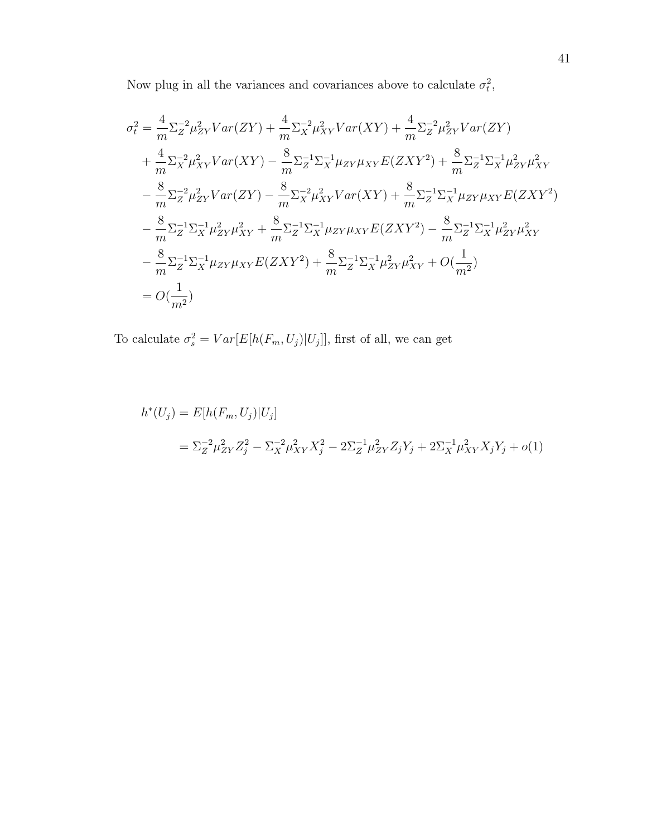Now plug in all the variances and covariances above to calculate  $\sigma_t^2$ ,

$$
\sigma_t^2 = \frac{4}{m} \Sigma_Z^{-2} \mu_{ZY}^2 Var(ZY) + \frac{4}{m} \Sigma_X^{-2} \mu_{XY}^2 Var(XY) + \frac{4}{m} \Sigma_Z^{-2} \mu_{ZY}^2 Var(ZY)
$$
  
+  $\frac{4}{m} \Sigma_X^{-2} \mu_{XY}^2 Var(XY) - \frac{8}{m} \Sigma_Z^{-1} \Sigma_X^{-1} \mu_{ZY} \mu_{XY} E(ZXY^2) + \frac{8}{m} \Sigma_Z^{-1} \Sigma_X^{-1} \mu_{ZY}^2 \mu_{XY}^2$   
-  $\frac{8}{m} \Sigma_Z^{-2} \mu_{ZY}^2 Var(ZY) - \frac{8}{m} \Sigma_X^{-2} \mu_{XY}^2 Var(XY) + \frac{8}{m} \Sigma_Z^{-1} \Sigma_X^{-1} \mu_{ZY} \mu_{XY} E(ZXY^2)$   
-  $\frac{8}{m} \Sigma_Z^{-1} \Sigma_X^{-1} \mu_{ZY}^2 \mu_{XY}^2 + \frac{8}{m} \Sigma_Z^{-1} \Sigma_X^{-1} \mu_{ZY} \mu_{XY} E(ZXY^2) - \frac{8}{m} \Sigma_Z^{-1} \Sigma_X^{-1} \mu_{ZY}^2 \mu_{XY}^2$   
-  $\frac{8}{m} \Sigma_Z^{-1} \Sigma_X^{-1} \mu_{ZY} \mu_{XY} E(ZXY^2) + \frac{8}{m} \Sigma_Z^{-1} \Sigma_X^{-1} \mu_{ZY}^2 \mu_{XY}^2 + O(\frac{1}{m^2})$   
=  $O(\frac{1}{m^2})$ 

To calculate  $\sigma_s^2 = Var[E[h(F_m, U_j)|U_j]]$ , first of all, we can get

$$
h^*(U_j) = E[h(F_m, U_j)|U_j]
$$
  
=  $\Sigma_Z^{-2} \mu_{ZY}^2 Z_j^2 - \Sigma_X^{-2} \mu_{XY}^2 X_j^2 - 2\Sigma_Z^{-1} \mu_{ZY}^2 Z_j Y_j + 2\Sigma_X^{-1} \mu_{XY}^2 X_j Y_j + o(1)$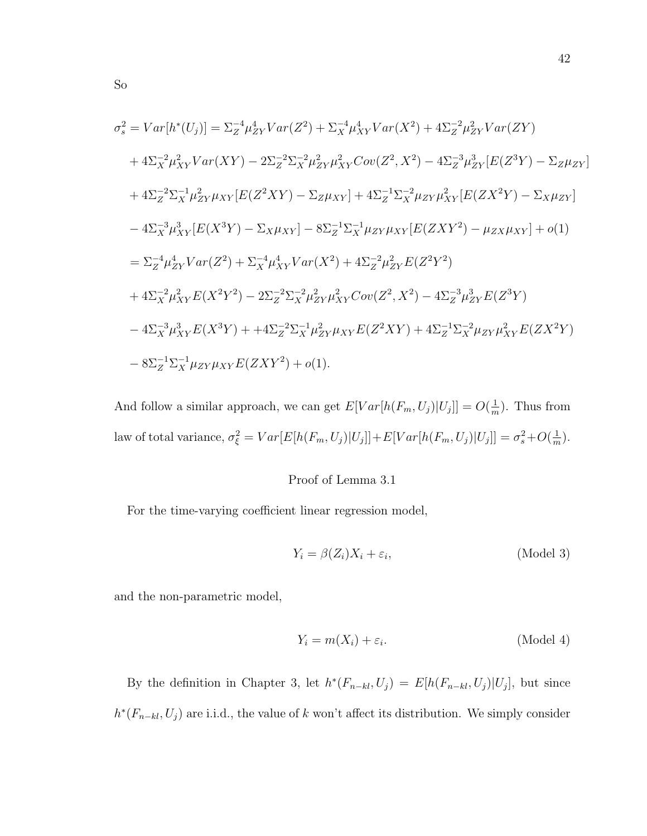$$
\sigma_s^2 = Var[h^*(U_j)] = \Sigma_Z^{-4} \mu_{ZY}^4 Var(Z^2) + \Sigma_X^{-4} \mu_{XY}^4 Var(X^2) + 4\Sigma_Z^{-2} \mu_{ZY}^2 Var(ZY)
$$
  
+  $4\Sigma_X^{-2} \mu_{XY}^2 Var(XY) - 2\Sigma_Z^{-2} \Sigma_X^{-2} \mu_{ZY}^2 \mu_{XY}Cov(Z^2, X^2) - 4\Sigma_Z^{-3} \mu_{ZY}^3 [E(Z^3Y) - \Sigma_Z \mu_{ZY}]$   
+  $4\Sigma_Z^{-2} \Sigma_X^{-1} \mu_{ZY}^2 \mu_{XY} [E(Z^2XY) - \Sigma_Z \mu_{XY}] + 4\Sigma_Z^{-1} \Sigma_X^{-2} \mu_{ZY} \mu_{XY}^2 [E(ZX^2Y) - \Sigma_X \mu_{ZY}]$   
-  $4\Sigma_X^{-3} \mu_{XY}^3 [E(X^3Y) - \Sigma_X \mu_{XY}] - 8\Sigma_Z^{-1} \Sigma_X^{-1} \mu_{ZY} \mu_{XY} [E(ZXY^2) - \mu_{ZX} \mu_{XY}] + o(1)$   
=  $\Sigma_Z^{-4} \mu_{ZY}^4 Var(Z^2) + \Sigma_X^{-4} \mu_{XY}^4 Var(X^2) + 4\Sigma_Z^{-2} \mu_{ZY}^2 E(Z^2Y^2)$   
+  $4\Sigma_X^{-2} \mu_{XY}^2 E(X^2Y^2) - 2\Sigma_Z^{-2} \Sigma_X^{-2} \mu_{ZY}^2 \mu_{XY}^2 Cov(Z^2, X^2) - 4\Sigma_Z^{-3} \mu_{ZY}^3 E(Z^3Y)$   
-  $4\Sigma_X^{-3} \mu_{XY}^3 E(X^3Y) + 4\Sigma_Z^{-2} \Sigma_X^{-1} \mu_{ZY}^2 \mu_{XY} E(Z^2XY) + 4\Sigma_Z^{-1} \Sigma_X^{-2} \mu_{ZY} \mu_{XY}^2 E(ZX^2Y)$   
-  $8\Sigma_Z^{-1} \Sigma_X^{-1} \mu_{ZY} \mu_{XY} E(ZXY^2) + o(1).$ 

And follow a similar approach, we can get  $E[Var[h(F_m, U_j)|U_j]] = O(\frac{1}{m})$  $\frac{1}{m}$ ). Thus from law of total variance,  $\sigma_{\xi}^2 = Var[E[h(F_m, U_j)|U_j]] + E[Var[h(F_m, U_j)|U_j]] = \sigma_s^2 + O(\frac{1}{m})$  $\frac{1}{m}$ ).

## Proof of Lemma 3.1

For the time-varying coefficient linear regression model,

$$
Y_i = \beta(Z_i)X_i + \varepsilon_i, \tag{Model 3}
$$

and the non-parametric model,

$$
Y_i = m(X_i) + \varepsilon_i. \tag{Model 4}
$$

By the definition in Chapter 3, let  $h^*(F_{n-kl}, U_j) = E[h(F_{n-kl}, U_j)|U_j]$ , but since  $h^*(F_{n-kl}, U_j)$  are i.i.d., the value of k won't affect its distribution. We simply consider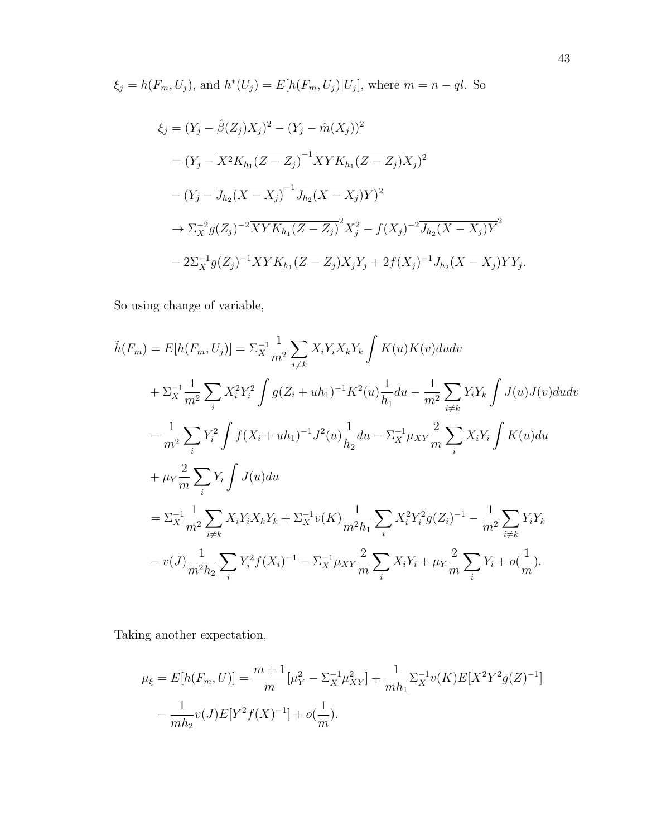$\xi_j = h(F_m, U_j)$ , and  $h^*(U_j) = E[h(F_m, U_j)|U_j]$ , where  $m = n - ql$ . So

$$
\xi_j = (Y_j - \hat{\beta}(Z_j)X_j)^2 - (Y_j - \hat{m}(X_j))^2
$$
  
=  $(Y_j - \overline{X^2 K_{h_1} (Z - Z_j)}^{-1} \overline{XY K_{h_1} (Z - Z_j)} X_j)^2$   
 $- (Y_j - \overline{J_{h_2} (X - X_j)}^{-1} \overline{J_{h_2} (X - X_j)Y})^2$   
 $\rightarrow \Sigma_X^{-2} g(Z_j)^{-2} \overline{XY K_{h_1} (Z - Z_j)}^2 X_j^2 - f(X_j)^{-2} \overline{J_{h_2} (X - X_j)Y}^2$   
 $- 2\Sigma_X^{-1} g(Z_j)^{-1} \overline{XY K_{h_1} (Z - Z_j)} X_j Y_j + 2f(X_j)^{-1} \overline{J_{h_2} (X - X_j)Y} Y_j.$ 

So using change of variable,

$$
\tilde{h}(F_m) = E[h(F_m, U_j)] = \Sigma_X^{-1} \frac{1}{m^2} \sum_{i \neq k} X_i Y_i X_k Y_k \int K(u)K(v) du dv \n+ \Sigma_X^{-1} \frac{1}{m^2} \sum_i X_i^2 Y_i^2 \int g(Z_i + uh_1)^{-1} K^2(u) \frac{1}{h_1} du - \frac{1}{m^2} \sum_{i \neq k} Y_i Y_k \int J(u)J(v) du dv \n- \frac{1}{m^2} \sum_i Y_i^2 \int f(X_i + uh_1)^{-1} J^2(u) \frac{1}{h_2} du - \Sigma_X^{-1} \mu_{XY} \frac{2}{m} \sum_i X_i Y_i \int K(u) du \n+ \mu_Y \frac{2}{m} \sum_i Y_i \int J(u) du \n= \Sigma_X^{-1} \frac{1}{m^2} \sum_{i \neq k} X_i Y_i X_k Y_k + \Sigma_X^{-1} v(K) \frac{1}{m^2 h_1} \sum_i X_i^2 Y_i^2 g(Z_i)^{-1} - \frac{1}{m^2} \sum_{i \neq k} Y_i Y_k \n- v(J) \frac{1}{m^2 h_2} \sum_i Y_i^2 f(X_i)^{-1} - \Sigma_X^{-1} \mu_{XY} \frac{2}{m} \sum_i X_i Y_i + \mu_Y \frac{2}{m} \sum_i Y_i + o(\frac{1}{m}).
$$

Taking another expectation,

$$
\mu_{\xi} = E[h(F_m, U)] = \frac{m+1}{m} [\mu_Y^2 - \Sigma_X^{-1} \mu_{XY}^2] + \frac{1}{mh_1} \Sigma_X^{-1} v(K) E[X^2 Y^2 g(Z)^{-1}]
$$

$$
- \frac{1}{mh_2} v(J) E[Y^2 f(X)^{-1}] + o(\frac{1}{m}).
$$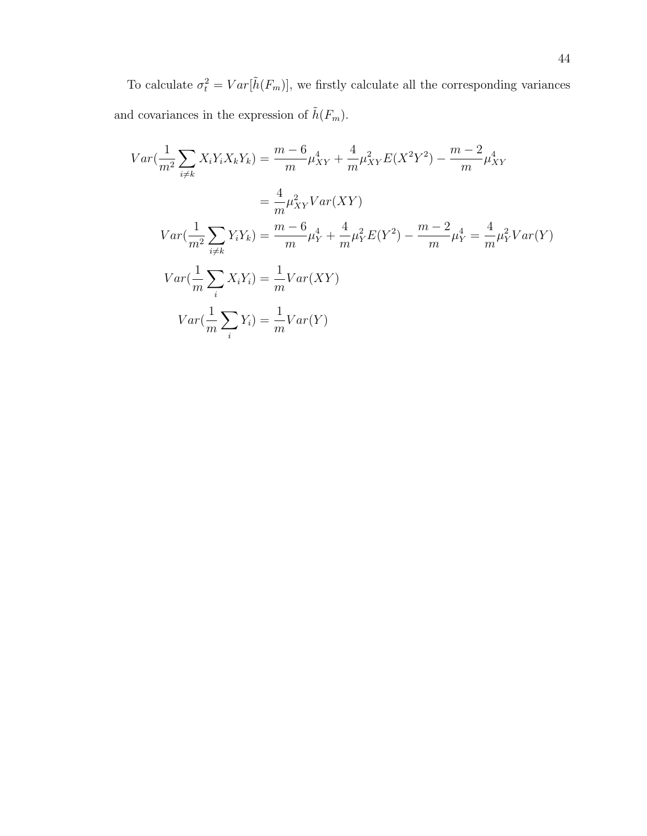To calculate  $\sigma_t^2 = Var[\tilde{h}(F_m)]$ , we firstly calculate all the corresponding variances and covariances in the expression of  $\tilde{h}(F_m).$ 

$$
Var\left(\frac{1}{m^2}\sum_{i\neq k} X_i Y_i X_k Y_k\right) = \frac{m-6}{m} \mu_{XY}^4 + \frac{4}{m} \mu_{XY}^2 E(X^2 Y^2) - \frac{m-2}{m} \mu_{XY}^4
$$
  
\n
$$
= \frac{4}{m} \mu_{XY}^2 Var(XY)
$$
  
\n
$$
Var\left(\frac{1}{m^2}\sum_{i\neq k} Y_i Y_k\right) = \frac{m-6}{m} \mu_Y^4 + \frac{4}{m} \mu_Y^2 E(Y^2) - \frac{m-2}{m} \mu_Y^4 = \frac{4}{m} \mu_Y^2 Var(Y)
$$
  
\n
$$
Var\left(\frac{1}{m}\sum_{i} X_i Y_i\right) = \frac{1}{m} Var(XY)
$$
  
\n
$$
Var\left(\frac{1}{m}\sum_{i} Y_i\right) = \frac{1}{m} Var(Y)
$$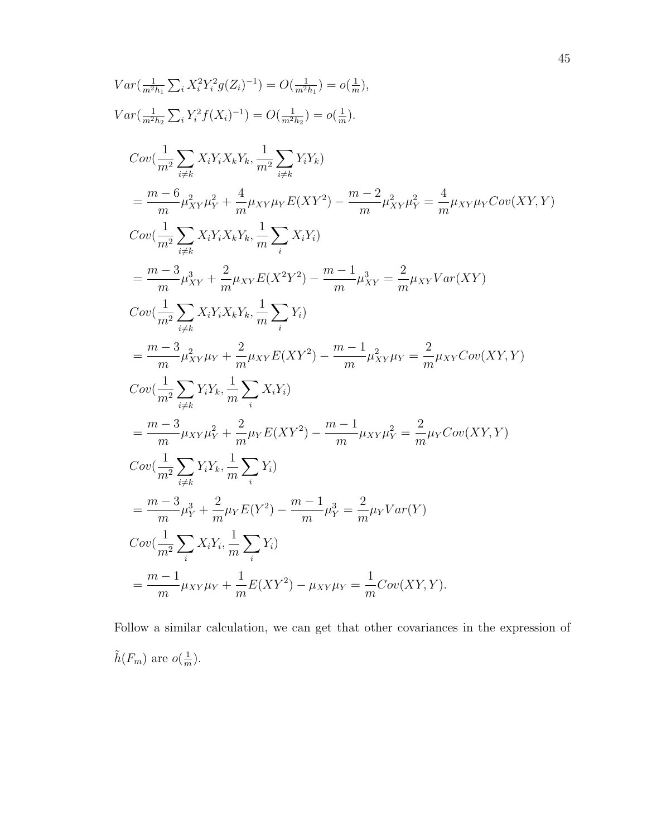$$
Var(\frac{1}{m^{2}h_{1}}\sum_{i}X_{i}^{2}Y_{i}^{2}g(Z_{i})^{-1}) = O(\frac{1}{m^{2}h_{1}}) = o(\frac{1}{m}),
$$
  
\n
$$
Var(\frac{1}{m^{2}h_{2}}\sum_{i}Y_{i}^{2}f(X_{i})^{-1}) = O(\frac{1}{m^{2}h_{2}}) = o(\frac{1}{m}).
$$
  
\n
$$
Cov(\frac{1}{m^{2}}\sum_{i\neq k}X_{i}Y_{i}X_{k}Y_{k}, \frac{1}{m^{2}}\sum_{i\neq k}Y_{i}Y_{k})
$$
  
\n
$$
= \frac{m-6}{m}\mu_{XY}^{2}\mu_{Y}^{2} + \frac{4}{m}\mu_{XY}\mu_{Y}E(XY^{2}) - \frac{m-2}{m}\mu_{XY}^{2}\mu_{Y}^{2} = \frac{4}{m}\mu_{XY}\mu_{Y}Cov(XY,Y)
$$
  
\n
$$
Cov(\frac{1}{m^{2}}\sum_{i\neq k}X_{i}Y_{i}X_{k}Y_{k}, \frac{1}{m}\sum_{i}X_{i}Y_{i})
$$
  
\n
$$
= \frac{m-3}{m}\mu_{XY}^{2} + \frac{2}{m}\mu_{XY}E(X^{2}Y^{2}) - \frac{m-1}{m}\mu_{XY}^{2} = \frac{2}{m}\mu_{XY}Var(XY)
$$
  
\n
$$
Cov(\frac{1}{m^{2}}\sum_{i\neq k}X_{i}Y_{i}X_{k}Y_{k}, \frac{1}{m}\sum_{i}Y_{i})
$$
  
\n
$$
= \frac{m-3}{m}\mu_{XY}^{2}\mu_{Y} + \frac{2}{m}\mu_{XY}E(XY^{2}) - \frac{m-1}{m}\mu_{XY}^{2}\mu_{Y} = \frac{2}{m}\mu_{XY}Cov(XY,Y)
$$
  
\n
$$
Cov(\frac{1}{m^{2}}\sum_{i\neq k}Y_{i}Y_{k}, \frac{1}{m}\sum_{i}X_{i}Y_{i})
$$
  
\n
$$
= \frac{m-3}{m}\mu_{XY}\mu_{Y}^{2} + \frac{2}{m}\mu_{Y}E(XY^{2}) - \frac{m-1}{m}\mu_{XY}\mu_{Y}^{2} = \frac{2}{m}\mu_{Y}C
$$

Follow a similar calculation, we can get that other covariances in the expression of  $\tilde{h}(F_m)$  are  $o(\frac{1}{m})$  $\frac{1}{m}$ ).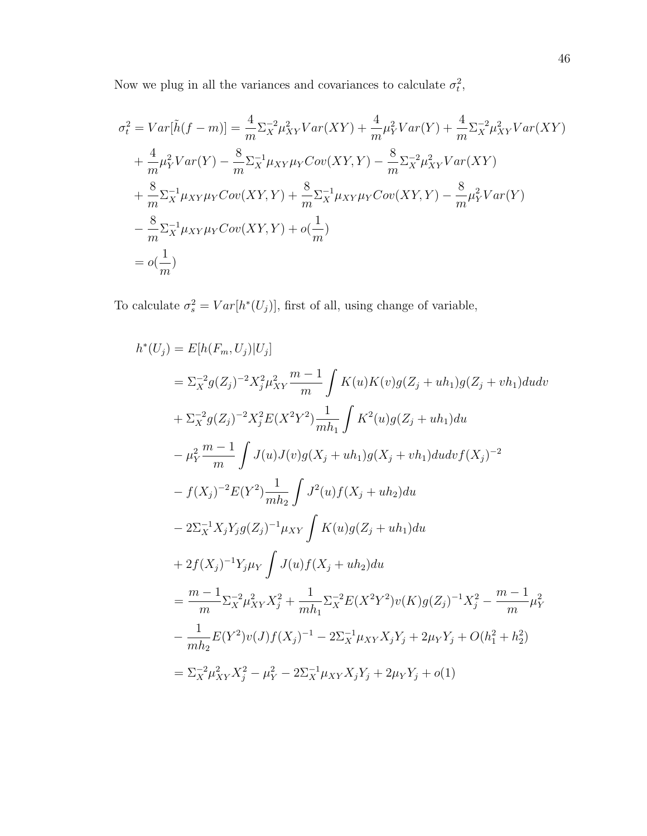Now we plug in all the variances and covariances to calculate  $\sigma_t^2$ ,

$$
\sigma_t^2 = Var[\tilde{h}(f - m)] = \frac{4}{m} \Sigma_X^{-2} \mu_{XY}^2 Var(XY) + \frac{4}{m} \mu_Y^2 Var(Y) + \frac{4}{m} \Sigma_X^{-2} \mu_{XY}^2 Var(XY)
$$
  
+  $\frac{4}{m} \mu_Y^2 Var(Y) - \frac{8}{m} \Sigma_X^{-1} \mu_{XY} \mu_Y Cov(XY, Y) - \frac{8}{m} \Sigma_X^{-2} \mu_{XY}^2 Var(XY)$   
+  $\frac{8}{m} \Sigma_X^{-1} \mu_{XY} \mu_Y Cov(XY, Y) + \frac{8}{m} \Sigma_X^{-1} \mu_{XY} \mu_Y Cov(XY, Y) - \frac{8}{m} \mu_Y^2 Var(Y)$   
-  $\frac{8}{m} \Sigma_X^{-1} \mu_{XY} \mu_Y Cov(XY, Y) + o(\frac{1}{m})$   
=  $o(\frac{1}{m})$ 

To calculate  $\sigma_s^2 = Var[h^*(U_j)],$  first of all, using change of variable,

$$
h^*(U_j) = E[h(F_m, U_j)|U_j]
$$
  
\n
$$
= \sum_{X}^{2} g(Z_j)^{-2} X_j^2 \mu_{XY}^2 \frac{m-1}{m} \int K(u)K(v)g(Z_j + uh_1)g(Z_j + vh_1) du dv
$$
  
\n
$$
+ \sum_{X}^{2} g(Z_j)^{-2} X_j^2 E(X^2 Y^2) \frac{1}{mh_1} \int K^2(u)g(Z_j + uh_1) du
$$
  
\n
$$
- \mu_Y^2 \frac{m-1}{m} \int J(u)J(v)g(X_j + uh_1)g(X_j + vh_1) du dr f(X_j)^{-2}
$$
  
\n
$$
- f(X_j)^{-2} E(Y^2) \frac{1}{mh_2} \int J^2(u) f(X_j + uh_2) du
$$
  
\n
$$
- 2 \sum_{X}^{-1} X_j Y_j g(Z_j)^{-1} \mu_{XY} \int K(u)g(Z_j + uh_1) du
$$
  
\n
$$
+ 2f(X_j)^{-1} Y_j \mu_Y \int J(u) f(X_j + uh_2) du
$$
  
\n
$$
= \frac{m-1}{m} \sum_{X}^{2} \mu_{XY}^2 X_j^2 + \frac{1}{mh_1} \sum_{X}^{2} E(X^2 Y^2) v(K) g(Z_j)^{-1} X_j^2 - \frac{m-1}{m} \mu_Y^2
$$
  
\n
$$
- \frac{1}{mh_2} E(Y^2) v(J) f(X_j)^{-1} - 2 \sum_{X}^{-1} \mu_{XY} X_j Y_j + 2\mu_Y Y_j + O(h_1^2 + h_2^2)
$$
  
\n
$$
= \sum_{X}^{2} \mu_{XY}^2 X_j^2 - \mu_Y^2 - 2 \sum_{X}^{-1} \mu_{XY} X_j Y_j + 2\mu_Y Y_j + o(1)
$$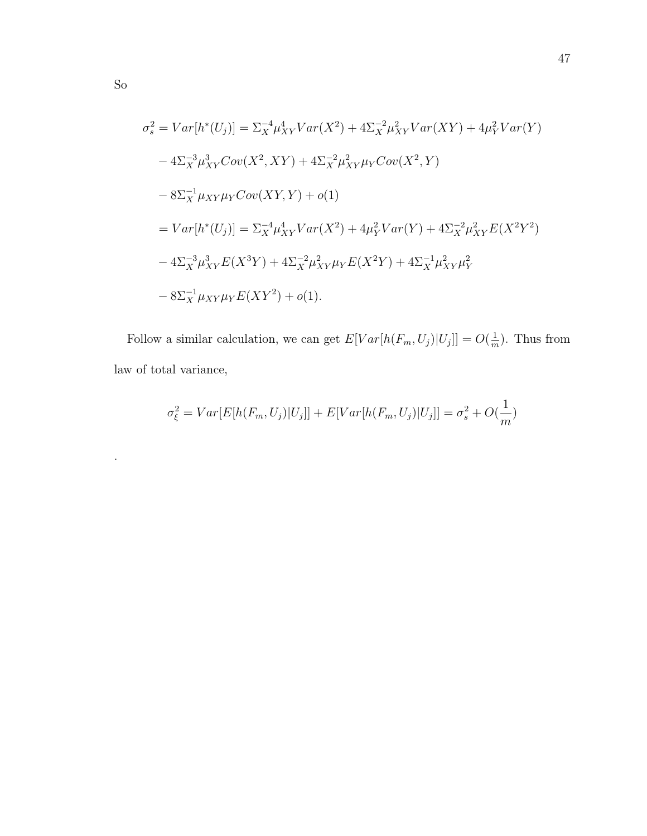$$
\sigma_s^2 = Var[h^*(U_j)] = \Sigma_X^{-4} \mu_{XY}^4 Var(X^2) + 4\Sigma_X^{-2} \mu_{XY}^2 Var(XY) + 4\mu_Y^2 Var(Y)
$$
  
\n
$$
-4\Sigma_X^{-3} \mu_{XY}^3 Cov(X^2, XY) + 4\Sigma_X^{-2} \mu_{XY}^2 \mu_{Y} Cov(X^2, Y)
$$
  
\n
$$
-8\Sigma_X^{-1} \mu_{XY} \mu_Y Cov(XY, Y) + o(1)
$$
  
\n
$$
= Var[h^*(U_j)] = \Sigma_X^{-4} \mu_{XY}^4 Var(X^2) + 4\mu_Y^2 Var(Y) + 4\Sigma_X^{-2} \mu_{XY}^2 E(X^2Y^2)
$$
  
\n
$$
-4\Sigma_X^{-3} \mu_{XY}^3 E(X^3Y) + 4\Sigma_X^{-2} \mu_{XY}^2 \mu_Y E(X^2Y) + 4\Sigma_X^{-1} \mu_{XY}^2 \mu_Y^2
$$
  
\n
$$
-8\Sigma_X^{-1} \mu_{XY} \mu_Y E(XY^2) + o(1).
$$

Follow a similar calculation, we can get  $E[Var[h(F_m, U_j)|U_j]] = O(\frac{1}{m})$  $\frac{1}{m}$ ). Thus from law of total variance,

$$
\sigma_{\xi}^2 = Var[E[h(F_m, U_j)|U_j]] + E[Var[h(F_m, U_j)|U_j]] = \sigma_s^2 + O(\frac{1}{m})
$$

.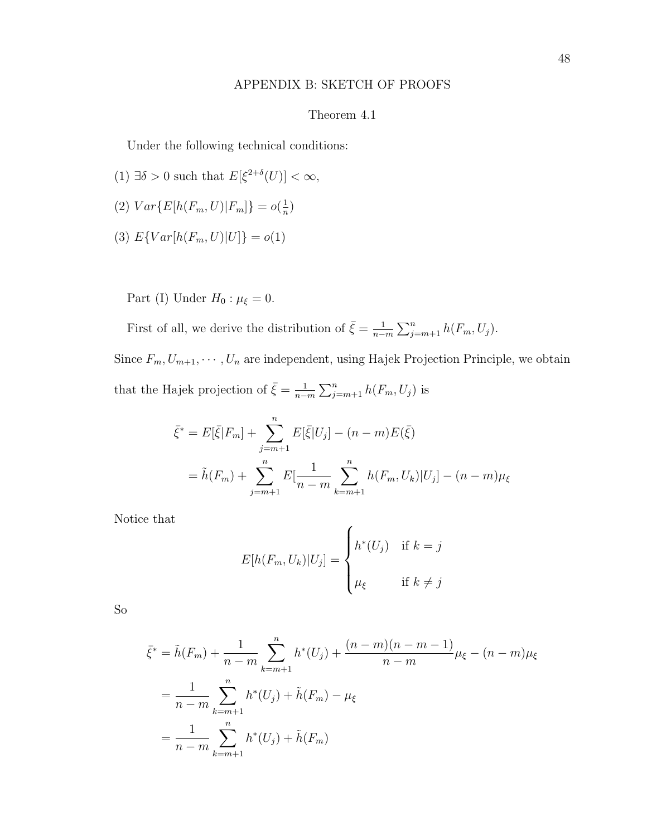#### APPENDIX B: SKETCH OF PROOFS

#### Theorem 4.1

Under the following technical conditions:

- (1)  $\exists \delta > 0$  such that  $E[\xi^{2+\delta}(U)] < \infty$ ,
- (2)  $Var\{E[h(F_m, U)|F_m]\} = o(\frac{1}{n})$  $\frac{1}{n}$
- (3)  $E\{Var[h(F_m, U)|U]\} = o(1)$

Part (I) Under  $H_0: \mu_{\xi} = 0$ .

First of all, we derive the distribution of  $\bar{\xi} = \frac{1}{n-1}$  $\frac{1}{n-m}\sum_{j=m+1}^{n}h(F_m, U_j).$ 

Since  $F_m, U_{m+1}, \cdots, U_n$  are independent, using Hajek Projection Principle, we obtain that the Hajek projection of  $\bar{\xi} = \frac{1}{n-1}$  $\frac{1}{n-m}\sum_{j=m+1}^n h(F_m, U_j)$  is

$$
\bar{\xi}^* = E[\bar{\xi}|F_m] + \sum_{j=m+1}^n E[\bar{\xi}|U_j] - (n-m)E(\bar{\xi})
$$
  
=  $\tilde{h}(F_m) + \sum_{j=m+1}^n E[\frac{1}{n-m} \sum_{k=m+1}^n h(F_m, U_k)|U_j] - (n-m)\mu_{\xi}$ 

Notice that

$$
E[h(F_m, U_k)|U_j] = \begin{cases} h^*(U_j) & \text{if } k = j \\ \mu_{\xi} & \text{if } k \neq j \end{cases}
$$

So

$$
\bar{\xi}^* = \tilde{h}(F_m) + \frac{1}{n-m} \sum_{k=m+1}^n h^*(U_j) + \frac{(n-m)(n-m-1)}{n-m} \mu_{\xi} - (n-m)\mu_{\xi}
$$

$$
= \frac{1}{n-m} \sum_{k=m+1}^n h^*(U_j) + \tilde{h}(F_m) - \mu_{\xi}
$$

$$
= \frac{1}{n-m} \sum_{k=m+1}^n h^*(U_j) + \tilde{h}(F_m)
$$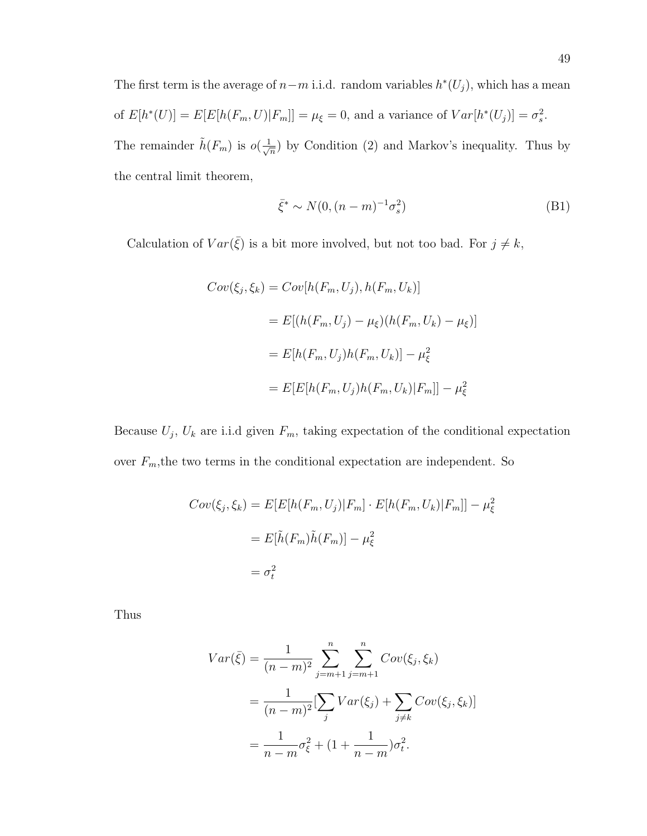The first term is the average of  $n-m$  i.i.d. random variables  $h^*(U_j)$ , which has a mean of  $E[h^*(U)] = E[E[h(F_m, U)|F_m]] = \mu_{\xi} = 0$ , and a variance of  $Var[h^*(U_j)] = \sigma_s^2$ . The remainder  $\tilde{h}(F_m)$  is  $o(\frac{1}{\sqrt{n}})$  $(\frac{1}{n})$  by Condition (2) and Markov's inequality. Thus by the central limit theorem,

$$
\bar{\xi}^* \sim N(0, (n-m)^{-1} \sigma_s^2)
$$
 (B1)

Calculation of  $Var(\bar{\xi})$  is a bit more involved, but not too bad. For  $j \neq k$ ,

$$
Cov(\xi_j, \xi_k) = Cov[h(F_m, U_j), h(F_m, U_k)]
$$

$$
= E[(h(F_m, U_j) - \mu_{\xi})(h(F_m, U_k) - \mu_{\xi})]
$$

$$
= E[h(F_m, U_j)h(F_m, U_k)] - \mu_{\xi}^2
$$

$$
= E[E[h(F_m, U_j)h(F_m, U_k)|F_m]] - \mu_{\xi}^2
$$

Because  $U_j$ ,  $U_k$  are i.i.d given  $F_m$ , taking expectation of the conditional expectation over  $F_m$ , the two terms in the conditional expectation are independent. So

$$
Cov(\xi_j, \xi_k) = E[E[h(F_m, U_j)|F_m] \cdot E[h(F_m, U_k)|F_m]] - \mu_{\xi}^2
$$

$$
= E[\tilde{h}(F_m)\tilde{h}(F_m)] - \mu_{\xi}^2
$$

$$
= \sigma_t^2
$$

Thus

$$
Var(\bar{\xi}) = \frac{1}{(n-m)^2} \sum_{j=m+1}^{n} \sum_{j=m+1}^{n} Cov(\xi_j, \xi_k)
$$
  
= 
$$
\frac{1}{(n-m)^2} [\sum_j Var(\xi_j) + \sum_{j \neq k} Cov(\xi_j, \xi_k)]
$$
  
= 
$$
\frac{1}{n-m} \sigma_{\xi}^2 + (1 + \frac{1}{n-m}) \sigma_t^2.
$$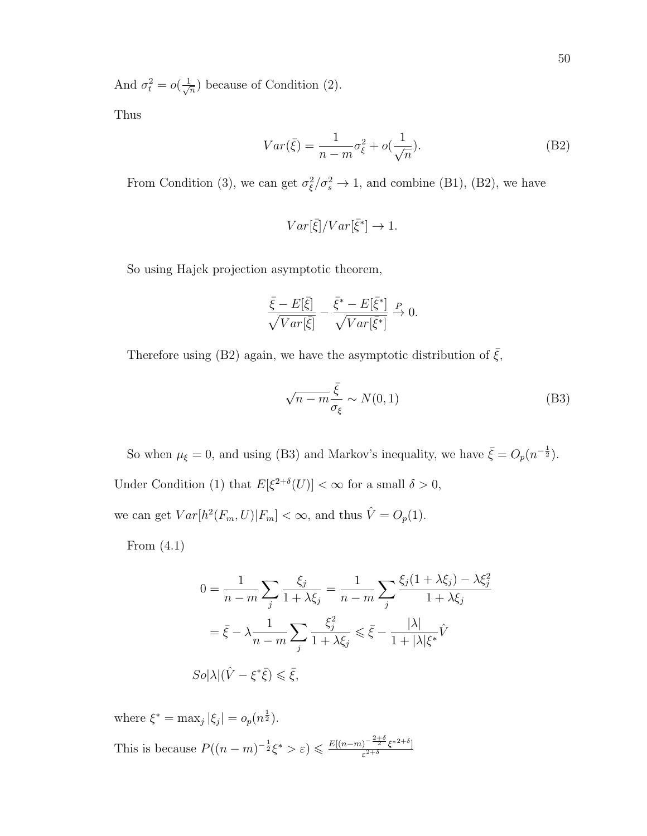And  $\sigma_t^2 = o(\frac{1}{\sqrt{2}})$  $\frac{1}{n}$ ) because of Condition (2).

Thus

$$
Var(\bar{\xi}) = \frac{1}{n-m}\sigma_{\xi}^{2} + o(\frac{1}{\sqrt{n}}).
$$
 (B2)

From Condition (3), we can get  $\sigma_{\xi}^2/\sigma_{s}^2 \rightarrow 1$ , and combine (B1), (B2), we have

$$
Var[\bar{\xi}]/Var[\bar{\xi}^*] \to 1.
$$

So using Hajek projection asymptotic theorem,

$$
\frac{\bar{\xi}-E[\bar{\xi}]}{\sqrt{Var[\bar{\xi}]}}-\frac{\bar{\xi}^*-E[\bar{\xi}^*]}{\sqrt{Var[\bar{\xi}^*]}}\overset{P}{\to} 0.
$$

Therefore using (B2) again, we have the asymptotic distribution of  $\bar{\xi}$ ,

$$
\sqrt{n-m}\frac{\bar{\xi}}{\sigma_{\xi}} \sim N(0,1) \tag{B3}
$$

So when  $\mu_{\xi} = 0$ , and using (B3) and Markov's inequality, we have  $\bar{\xi} = O_p(n^{-\frac{1}{2}})$ . Under Condition (1) that  $E[\xi^{2+\delta}(U)] < \infty$  for a small  $\delta > 0$ , we can get  $Var[h^2(F_m, U)|F_m] < \infty$ , and thus  $\hat{V} = O_p(1)$ .

From (4.1)

$$
0 = \frac{1}{n-m} \sum_{j} \frac{\xi_j}{1 + \lambda \xi_j} = \frac{1}{n-m} \sum_{j} \frac{\xi_j (1 + \lambda \xi_j) - \lambda \xi_j^2}{1 + \lambda \xi_j}
$$

$$
= \bar{\xi} - \lambda \frac{1}{n-m} \sum_{j} \frac{\xi_j^2}{1 + \lambda \xi_j} \le \bar{\xi} - \frac{|\lambda|}{1 + |\lambda| \xi^*} \hat{V}
$$

$$
So|\lambda|(\hat{V} - \xi^* \bar{\xi}) \le \bar{\xi},
$$

where  $\xi^* = \max_j |\xi_j| = o_p(n^{\frac{1}{2}})$ . This is because  $P((n-m)^{-\frac{1}{2}}\xi^* > \varepsilon) \leq \frac{E[(n-m)^{-\frac{2+\delta}{2}}\xi^{*2+\delta}]}{\varepsilon^{2+\delta}}$  $\varepsilon^{2+\delta}$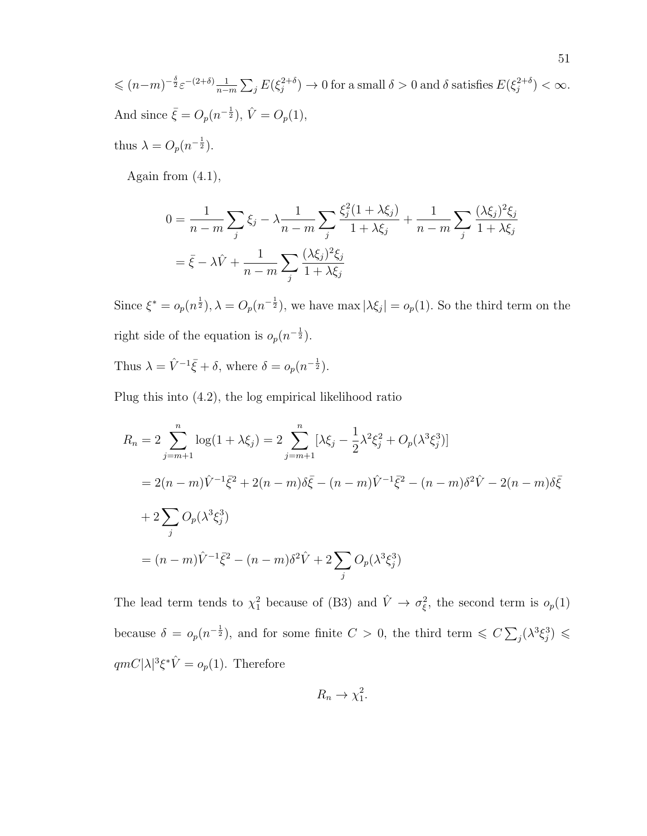$\leqslant (n-m)^{-\frac{\delta}{2}} \varepsilon^{-(2+\delta)} \frac{1}{n-1}$  $\frac{1}{n-m}\sum_j E(\xi_j^{2+\delta}$  $j^{2+\delta}$ )  $\rightarrow 0$  for a small  $\delta > 0$  and  $\delta$  satisfies  $E(\xi_j^{2+\delta})$  $j^{2+\delta}) < \infty$ . And since  $\bar{\xi} = O_p(n^{-\frac{1}{2}}), \hat{V} = O_p(1),$ 

thus  $\lambda = O_p(n^{-\frac{1}{2}})$ .

Again from  $(4.1)$ ,

$$
0 = \frac{1}{n-m} \sum_{j} \xi_j - \lambda \frac{1}{n-m} \sum_{j} \frac{\xi_j^2 (1 + \lambda \xi_j)}{1 + \lambda \xi_j} + \frac{1}{n-m} \sum_{j} \frac{(\lambda \xi_j)^2 \xi_j}{1 + \lambda \xi_j}
$$
  
=  $\bar{\xi} - \lambda \hat{V} + \frac{1}{n-m} \sum_{j} \frac{(\lambda \xi_j)^2 \xi_j}{1 + \lambda \xi_j}$ 

Since  $\xi^* = o_p(n^{\frac{1}{2}}), \lambda = O_p(n^{-\frac{1}{2}})$ , we have max  $|\lambda \xi_j| = o_p(1)$ . So the third term on the right side of the equation is  $o_p(n^{-\frac{1}{2}})$ .

Thus  $\lambda = \hat{V}^{-1}\bar{\xi} + \delta$ , where  $\delta = o_p(n^{-\frac{1}{2}})$ .

Plug this into (4.2), the log empirical likelihood ratio

$$
R_n = 2 \sum_{j=m+1}^{n} \log(1 + \lambda \xi_j) = 2 \sum_{j=m+1}^{n} [\lambda \xi_j - \frac{1}{2} \lambda^2 \xi_j^2 + O_p(\lambda^3 \xi_j^3)]
$$
  
= 2(n - m)\hat{V}^{-1}\bar{\xi}^2 + 2(n - m)\delta\bar{\xi} - (n - m)\hat{V}^{-1}\bar{\xi}^2 - (n - m)\delta^2 \hat{V} - 2(n - m)\delta\bar{\xi}  
+ 2\sum\_{j} O\_p(\lambda^3 \xi\_j^3)  
= (n - m)\hat{V}^{-1}\bar{\xi}^2 - (n - m)\delta^2 \hat{V} + 2\sum\_{j} O\_p(\lambda^3 \xi\_j^3)

The lead term tends to  $\chi^2_1$  because of (B3) and  $\hat{V} \to \sigma_{\xi}^2$ , the second term is  $o_p(1)$ because  $\delta = o_p(n^{-\frac{1}{2}})$ , and for some finite  $C > 0$ , the third term  $\leqslant C \sum_j (\lambda^3 \xi_j^3) \leqslant$  $qmC|\lambda|^3\xi^*\hat{V}=o_p(1)$ . Therefore

$$
R_n \to \chi_1^2.
$$